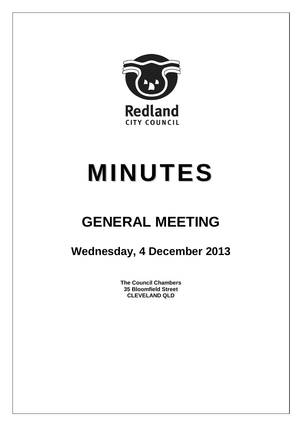

# **MINUTES**

## **GENERAL MEETING**

### **Wednesday, 4 December 2013**

**The Council Chambers 35 Bloomfield Street CLEVELAND QLD**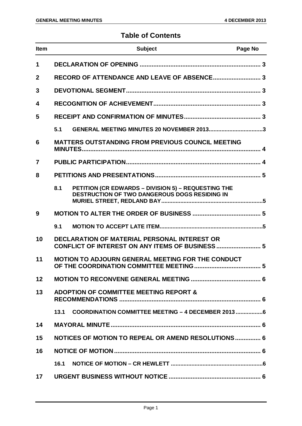#### **Table of Contents**

| <b>Item</b>       |      | <b>Subject</b>                                                                                       | Page No |
|-------------------|------|------------------------------------------------------------------------------------------------------|---------|
| $\mathbf 1$       |      |                                                                                                      |         |
| $\mathbf{2}$      |      | RECORD OF ATTENDANCE AND LEAVE OF ABSENCE 3                                                          |         |
| 3                 |      |                                                                                                      |         |
| 4                 |      |                                                                                                      |         |
| 5                 |      |                                                                                                      |         |
|                   | 5.1  | GENERAL MEETING MINUTES 20 NOVEMBER 20133                                                            |         |
| 6                 |      | <b>MATTERS OUTSTANDING FROM PREVIOUS COUNCIL MEETING</b>                                             |         |
| 7                 |      |                                                                                                      |         |
| 8                 |      |                                                                                                      |         |
|                   | 8.1  | PETITION (CR EDWARDS - DIVISION 5) - REQUESTING THE<br>DESTRUCTION OF TWO DANGEROUS DOGS RESIDING IN |         |
| 9                 |      |                                                                                                      |         |
|                   | 9.1  |                                                                                                      |         |
| 10                |      | DECLARATION OF MATERIAL PERSONAL INTEREST OR<br>CONFLICT OF INTEREST ON ANY ITEMS OF BUSINESS  5     |         |
| 11                |      | <b>MOTION TO ADJOURN GENERAL MEETING FOR THE CONDUCT</b>                                             |         |
| $12 \overline{ }$ |      |                                                                                                      |         |
| 13                |      | <b>ADOPTION OF COMMITTEE MEETING REPORT &amp;</b>                                                    |         |
|                   | 13.1 | COORDINATION COMMITTEE MEETING - 4 DECEMBER 2013 6                                                   |         |
| 14                |      |                                                                                                      |         |
| 15                |      | NOTICES OF MOTION TO REPEAL OR AMEND RESOLUTIONS 6                                                   |         |
| 16                |      |                                                                                                      |         |
|                   | 16.1 |                                                                                                      |         |
| 17                |      |                                                                                                      |         |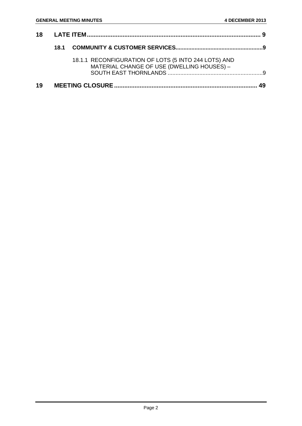|    | 18.1 |                                                                                                    |  |
|----|------|----------------------------------------------------------------------------------------------------|--|
|    |      | 18.1.1 RECONFIGURATION OF LOTS (5 INTO 244 LOTS) AND<br>MATERIAL CHANGE OF USE (DWELLING HOUSES) - |  |
| 19 |      |                                                                                                    |  |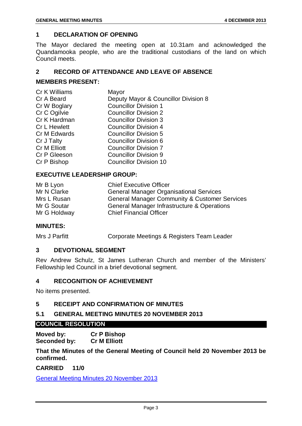#### <span id="page-3-0"></span>**1 DECLARATION OF OPENING**

The Mayor declared the meeting open at 10.31am and acknowledged the Quandamooka people, who are the traditional custodians of the land on which Council meets.

#### <span id="page-3-1"></span>**2 RECORD OF ATTENDANCE AND LEAVE OF ABSENCE**

#### **MEMBERS PRESENT:**

| Cr K Williams       | Mayor                                |
|---------------------|--------------------------------------|
| Cr A Beard          | Deputy Mayor & Councillor Division 8 |
| Cr W Boglary        | <b>Councillor Division 1</b>         |
| Cr C Ogilvie        | <b>Councillor Division 2</b>         |
| Cr K Hardman        | <b>Councillor Division 3</b>         |
| <b>Cr L Hewlett</b> | <b>Councillor Division 4</b>         |
| Cr M Edwards        | <b>Councillor Division 5</b>         |
| Cr J Talty          | Councillor Division 6                |
| Cr M Elliott        | <b>Councillor Division 7</b>         |
| Cr P Gleeson        | <b>Councillor Division 9</b>         |
| Cr P Bishop         | <b>Councillor Division 10</b>        |
|                     |                                      |

#### **EXECUTIVE LEADERSHIP GROUP:**

| Mr B Lyon    | <b>Chief Executive Officer</b>                           |
|--------------|----------------------------------------------------------|
| Mr N Clarke  | <b>General Manager Organisational Services</b>           |
| Mrs L Rusan  | <b>General Manager Community &amp; Customer Services</b> |
| Mr G Soutar  | General Manager Infrastructure & Operations              |
| Mr G Holdway | <b>Chief Financial Officer</b>                           |

#### **MINUTES:**

Mrs J Parfitt Corporate Meetings & Registers Team Leader

#### <span id="page-3-2"></span>**3 DEVOTIONAL SEGMENT**

Rev Andrew Schulz, St James Lutheran Church and member of the Ministers' Fellowship led Council in a brief devotional segment.

#### <span id="page-3-3"></span>**4 RECOGNITION OF ACHIEVEMENT**

No items presented.

#### <span id="page-3-4"></span>**5 RECEIPT AND CONFIRMATION OF MINUTES**

#### <span id="page-3-5"></span>**5.1 GENERAL MEETING MINUTES 20 NOVEMBER 2013**

#### **COUNCIL RESOLUTION**

**Moved by: Cr P Bishop Seconded by: Cr M Elliott**

**That the Minutes of the General Meeting of Council held 20 November 2013 be confirmed.**

**CARRIED 11/0**

General Meeting Minutes 20 November 2013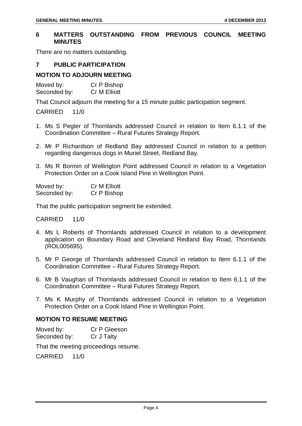#### <span id="page-4-0"></span>**6 MATTERS OUTSTANDING FROM PREVIOUS COUNCIL MEETING MINUTES**

There are no matters outstanding.

#### <span id="page-4-1"></span>**7 PUBLIC PARTICIPATION**

#### **MOTION TO ADJOURN MEETING**

Moved by: Cr P Bishop Seconded by: Cr M Elliott

That Council adjourn the meeting for a 15 minute public participation segment.

CARRIED 11/0

- 1. Ms S Pegler of Thornlands addressed Council in relation to Item 6.1.1 of the Coordination Committee – Rural Futures Strategy Report.
- 2. Mr P Richardson of Redland Bay addressed Council in relation to a petition regarding dangerous dogs in Muriel Street, Redland Bay.
- 3. Ms R Bonnin of Wellington Point addressed Council in relation to a Vegetation Protection Order on a Cook Island Pine in Wellington Point.

| Moved by:    | <b>Cr M Elliott</b> |
|--------------|---------------------|
| Seconded by: | Cr P Bishop         |

That the public participation segment be extended.

#### CARRIED 11/0

- 4. Ms L Roberts of Thornlands addressed Council in relation to a development application on Boundary Road and Cleveland Redland Bay Road, Thornlands (ROL005695).
- 5. Mr P George of Thornlands addressed Council in relation to Item 6.1.1 of the Coordination Committee – Rural Futures Strategy Report.
- 6. Mr B Vaughan of Thornlands addressed Council in relation to Item 6.1.1 of the Coordination Committee – Rural Futures Strategy Report.
- 7. Ms K Murphy of Thornlands addressed Council in relation to a Vegetation Protection Order on a Cook Island Pine in Wellington Point.

#### **MOTION TO RESUME MEETING**

Moved by: Cr P Gleeson Seconded by: Cr J Talty

That the meeting proceedings resume.

CARRIED 11/0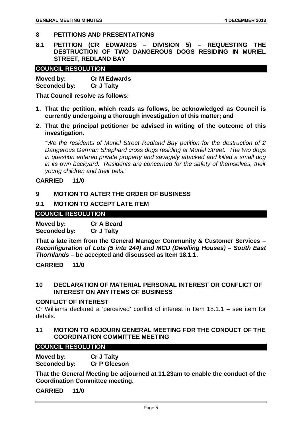#### <span id="page-5-0"></span>**8 PETITIONS AND PRESENTATIONS**

<span id="page-5-1"></span>**8.1 PETITION (CR EDWARDS – DIVISION 5) – REQUESTING THE DESTRUCTION OF TWO DANGEROUS DOGS RESIDING IN MURIEL STREET, REDLAND BAY**

#### **COUNCIL RESOLUTION**

| Moved by:    | <b>Cr M Edwards</b> |
|--------------|---------------------|
| Seconded by: | <b>Cr J Talty</b>   |

**That Council resolve as follows:**

- **1. That the petition, which reads as follows, be acknowledged as Council is currently undergoing a thorough investigation of this matter; and**
- **2. That the principal petitioner be advised in writing of the outcome of this investigation.**

*"We the residents of Muriel Street Redland Bay petition for the destruction of 2 Dangerous German Shephard cross dogs residing at Muriel Street. The two dogs in question entered private property and savagely attacked and killed a small dog in its own backyard. Residents are concerned for the safety of themselves, their young children and their pets."*

#### **CARRIED 11/0**

#### <span id="page-5-2"></span>**9 MOTION TO ALTER THE ORDER OF BUSINESS**

#### <span id="page-5-3"></span>**9.1 MOTION TO ACCEPT LATE ITEM**

#### **COUNCIL RESOLUTION**

**Moved by: Cr A Beard Seconded by:** 

**That a late item from the General Manager Community & Customer Services –** *Reconfiguration of Lots (5 into 244) and MCU (Dwelling Houses) – South East Thornlands* **– be accepted and discussed as Item 18.1.1.**

**CARRIED 11/0**

<span id="page-5-4"></span>**10 DECLARATION OF MATERIAL PERSONAL INTEREST OR CONFLICT OF INTEREST ON ANY ITEMS OF BUSINESS**

#### **CONFLICT OF INTEREST**

Cr Williams declared a 'perceived' conflict of interest in Item 18.1.1 – see item for details.

<span id="page-5-5"></span>**11 MOTION TO ADJOURN GENERAL MEETING FOR THE CONDUCT OF THE COORDINATION COMMITTEE MEETING**

#### **COUNCIL RESOLUTION**

**Moved by: Cr J Talty Seconded by: Cr P Gleeson**

**That the General Meeting be adjourned at 11.23am to enable the conduct of the Coordination Committee meeting.**

**CARRIED 11/0**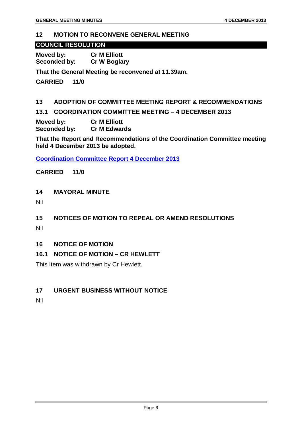#### <span id="page-6-0"></span>**12 MOTION TO RECONVENE GENERAL MEETING**

#### **COUNCIL RESOLUTION**

**Moved by: Cr M Elliott Cr W Boglary** 

**That the General Meeting be reconvened at 11.39am.**

**CARRIED 11/0**

#### <span id="page-6-1"></span>**13 ADOPTION OF COMMITTEE MEETING REPORT & RECOMMENDATIONS**

<span id="page-6-2"></span>**13.1 COORDINATION COMMITTEE MEETING – 4 DECEMBER 2013**

**Moved by: Cr M Elliott Seconded by:** 

**That the Report and Recommendations of the Coordination Committee meeting held 4 December 2013 be adopted.**

**Coordination Committee Report 4 December 2013**

**CARRIED 11/0**

#### <span id="page-6-3"></span>**14 MAYORAL MINUTE**

Nil

#### <span id="page-6-4"></span>**15 NOTICES OF MOTION TO REPEAL OR AMEND RESOLUTIONS**

Nil

#### <span id="page-6-5"></span>**16 NOTICE OF MOTION**

#### <span id="page-6-6"></span>**16.1 NOTICE OF MOTION – CR HEWLETT**

This Item was withdrawn by Cr Hewlett.

#### <span id="page-6-7"></span>**17 URGENT BUSINESS WITHOUT NOTICE**

Nil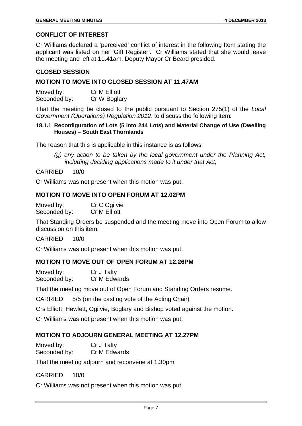#### **CONFLICT OF INTEREST**

Cr Williams declared a 'perceived' conflict of interest in the following Item stating the applicant was listed on her 'Gift Register'. Cr Williams stated that she would leave the meeting and left at 11.41am. Deputy Mayor Cr Beard presided.

#### **CLOSED SESSION**

#### **MOTION TO MOVE INTO CLOSED SESSION AT 11.47AM**

Moved by: Cr M Elliott<br>Seconded by: Cr W Boglary Seconded by:

That the meeting be closed to the public pursuant to Section 275(1) of the *Local Government (Operations) Regulation 2012*, to discuss the following item:

#### **18.1.1 Reconfiguration of Lots (5 into 244 Lots) and Material Change of Use (Dwelling Houses) – South East Thornlands**

The reason that this is applicable in this instance is as follows:

*(g) any action to be taken by the local government under the Planning Act, including deciding applications made to it under that Act;*

#### CARRIED 10/0

Cr Williams was not present when this motion was put.

#### **MOTION TO MOVE INTO OPEN FORUM AT 12.02PM**

| Moved by:    | Cr C Ogilvie |
|--------------|--------------|
| Seconded by: | Cr M Elliott |

That Standing Orders be suspended and the meeting move into Open Forum to allow discussion on this item.

#### CARRIED 10/0

Cr Williams was not present when this motion was put.

#### **MOTION TO MOVE OUT OF OPEN FORUM AT 12.26PM**

| Moved by:    | Cr J Talty   |
|--------------|--------------|
| Seconded by: | Cr M Edwards |

That the meeting move out of Open Forum and Standing Orders resume.

CARRIED 5/5 (on the casting vote of the Acting Chair)

Crs Elliott, Hewlett, Ogilvie, Boglary and Bishop voted against the motion.

Cr Williams was not present when this motion was put.

#### **MOTION TO ADJOURN GENERAL MEETING AT 12.27PM**

Moved by: Cr J Talty Seconded by: Cr M Edwards

That the meeting adjourn and reconvene at 1.30pm.

#### CARRIED 10/0

Cr Williams was not present when this motion was put.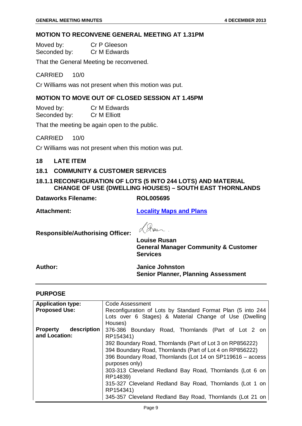#### **MOTION TO RECONVENE GENERAL MEETING AT 1.31PM**

Moved by: Cr P Gleeson Seconded by: Cr M Edwards

That the General Meeting be reconvened.

#### CARRIED 10/0

Cr Williams was not present when this motion was put.

#### **MOTION TO MOVE OUT OF CLOSED SESSION AT 1.45PM**

Moved by: Cr M Edwards Seconded by: Cr M Elliott

That the meeting be again open to the public.

CARRIED 10/0

Cr Williams was not present when this motion was put.

<span id="page-9-0"></span>**18 LATE ITEM**

#### <span id="page-9-1"></span>**18.1 COMMUNITY & CUSTOMER SERVICES**

#### <span id="page-9-2"></span>**18.1.1 RECONFIGURATION OF LOTS (5 INTO 244 LOTS) AND MATERIAL CHANGE OF USE (DWELLING HOUSES) – SOUTH EAST THORNLANDS**

**Dataworks Filename: ROL005695**

**Attachment: Locality Maps and Plans**

**Responsible/Authorising Officer:**

 $\mathscr{D}$  $\mathcal{M}$ **Louise Rusan**

**General Manager Community & Customer Services**

**Author: Janice Johnston Senior Planner, Planning Assessment**

#### **PURPOSE**

| <b>Application type:</b>       | Code Assessment                                                              |  |  |
|--------------------------------|------------------------------------------------------------------------------|--|--|
| <b>Proposed Use:</b>           | Reconfiguration of Lots by Standard Format Plan (5 into 244                  |  |  |
|                                | Lots over 6 Stages) & Material Change of Use (Dwelling<br>Houses)            |  |  |
| description<br><b>Property</b> | 376-386 Boundary Road, Thornlands (Part of Lot 2 on                          |  |  |
| and Location:                  | RP154341)                                                                    |  |  |
|                                | 392 Boundary Road, Thornlands (Part of Lot 3 on RP856222)                    |  |  |
|                                | 394 Boundary Road, Thornlands (Part of Lot 4 on RP856222)                    |  |  |
|                                | 396 Boundary Road, Thornlands (Lot 14 on SP119616 – access<br>purposes only) |  |  |
|                                | 303-313 Cleveland Redland Bay Road, Thornlands (Lot 6 on<br>RP14839)         |  |  |
|                                | 315-327 Cleveland Redland Bay Road, Thornlands (Lot 1 on<br>RP154341)        |  |  |
|                                | 345-357 Cleveland Redland Bay Road, Thornlands (Lot 21 on                    |  |  |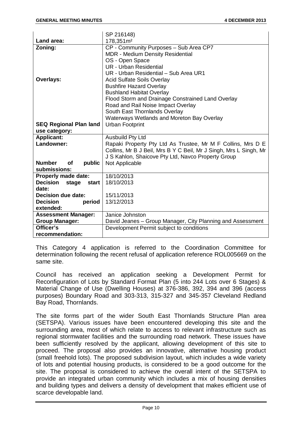|                                      | SP 216148)                                                        |
|--------------------------------------|-------------------------------------------------------------------|
| Land area:                           | 178,351m <sup>2</sup>                                             |
| Zoning:                              | CP - Community Purposes - Sub Area CP7                            |
|                                      | <b>MDR - Medium Density Residential</b>                           |
|                                      | OS - Open Space                                                   |
|                                      | <b>UR</b> - Urban Residential                                     |
|                                      | UR - Urban Residential - Sub Area UR1                             |
| Overlays:                            | <b>Acid Sulfate Soils Overlay</b>                                 |
|                                      | <b>Bushfire Hazard Overlay</b>                                    |
|                                      | <b>Bushland Habitat Overlay</b>                                   |
|                                      | Flood Storm and Drainage Constrained Land Overlay                 |
|                                      | Road and Rail Noise Impact Overlay                                |
|                                      | South East Thornlands Overlay                                     |
|                                      | Waterways Wetlands and Moreton Bay Overlay                        |
| <b>SEQ Regional Plan land</b>        | <b>Urban Footprint</b>                                            |
| use category:                        |                                                                   |
| <b>Applicant:</b>                    | <b>Ausbuild Pty Ltd</b>                                           |
| Landowner:                           | Rapaki Property Pty Ltd As Trustee, Mr M F Collins, Mrs D E       |
|                                      | Collins, Mr B J Beil, Mrs B Y C Beil, Mr J Singh, Mrs L Singh, Mr |
|                                      | J S Kahlon, Shaicove Pty Ltd, Navco Property Group                |
| <b>Number</b><br><b>of</b><br>public | Not Applicable                                                    |
| submissions:                         |                                                                   |
| <b>Properly made date:</b>           | 18/10/2013                                                        |
| Decision stage start                 | 18/10/2013                                                        |
| date:                                |                                                                   |
| Decision due date:                   | 15/11/2013                                                        |
| period<br><b>Decision</b>            | 13/12/2013                                                        |
| extended:                            |                                                                   |
| <b>Assessment Manager:</b>           | Janice Johnston                                                   |
| <b>Group Manager:</b>                | David Jeanes - Group Manager, City Planning and Assessment        |
| Officer's                            | Development Permit subject to conditions                          |
| recommendation:                      |                                                                   |

This Category 4 application is referred to the Coordination Committee for determination following the recent refusal of application reference ROL005669 on the same site.

Council has received an application seeking a Development Permit for Reconfiguration of Lots by Standard Format Plan (5 into 244 Lots over 6 Stages) & Material Change of Use (Dwelling Houses) at 376-386, 392, 394 and 396 (access purposes) Boundary Road and 303-313, 315-327 and 345-357 Cleveland Redland Bay Road, Thornlands.

The site forms part of the wider South East Thornlands Structure Plan area (SETSPA). Various issues have been encountered developing this site and the surrounding area, most of which relate to access to relevant infrastructure such as regional stormwater facilities and the surrounding road network. These issues have been sufficiently resolved by the applicant, allowing development of this site to proceed. The proposal also provides an innovative, alternative housing product (small freehold lots). The proposed subdivision layout, which includes a wide variety of lots and potential housing products, is considered to be a good outcome for the site. The proposal is considered to achieve the overall intent of the SETSPA to provide an integrated urban community which includes a mix of housing densities and building types and delivers a density of development that makes efficient use of scarce developable land.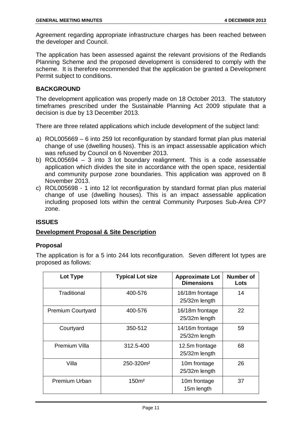Agreement regarding appropriate infrastructure charges has been reached between the developer and Council.

The application has been assessed against the relevant provisions of the Redlands Planning Scheme and the proposed development is considered to comply with the scheme. It is therefore recommended that the application be granted a Development Permit subject to conditions.

#### **BACKGROUND**

The development application was properly made on 18 October 2013. The statutory timeframes prescribed under the Sustainable Planning Act 2009 stipulate that a decision is due by 13 December 2013.

There are three related applications which include development of the subject land:

- a) ROL005669 6 into 259 lot reconfiguration by standard format plan plus material change of use (dwelling houses). This is an impact assessable application which was refused by Council on 6 November 2013.
- b) ROL005694 3 into 3 lot boundary realignment. This is a code assessable application which divides the site in accordance with the open space, residential and community purpose zone boundaries. This application was approved on 8 November 2013.
- c) ROL005698 1 into 12 lot reconfiguration by standard format plan plus material change of use (dwelling houses). This is an impact assessable application including proposed lots within the central Community Purposes Sub-Area CP7 zone.

#### **ISSUES**

#### **Development Proposal & Site Description**

#### **Proposal**

The application is for a 5 into 244 lots reconfiguration. Seven different lot types are proposed as follows:

| Lot Type                 | <b>Typical Lot size</b> | <b>Approximate Lot</b><br><b>Dimensions</b> | <b>Number of</b><br>Lots |
|--------------------------|-------------------------|---------------------------------------------|--------------------------|
| Traditional              | 400-576                 | 16/18m frontage<br>25/32m length            | 14                       |
| <b>Premium Courtyard</b> | 400-576                 | 16/18m frontage<br>25/32m length            | 22                       |
| Courtyard                | 350-512                 | 14/16m frontage<br>25/32m length            | 59                       |
| <b>Premium Villa</b>     | 312.5-400               | 12.5m frontage<br>25/32m length             | 68                       |
| Villa                    | 250-320m <sup>2</sup>   | 10m frontage<br>25/32m length               | 26                       |
| Premium Urban            | 150 <sup>m²</sup>       | 10m frontage<br>15m length                  | 37                       |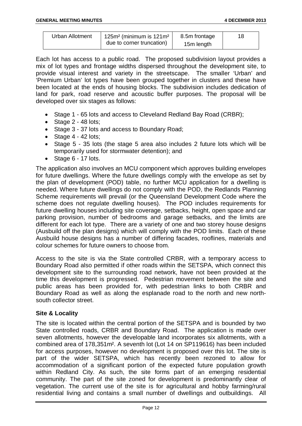| <b>Urban Allotment</b> | 125 $m2$ (minimum is 121 $m2$ | 8.5m frontage |  |
|------------------------|-------------------------------|---------------|--|
|                        | due to corner truncation)     | 15m length    |  |

Each lot has access to a public road. The proposed subdivision layout provides a mix of lot types and frontage widths dispersed throughout the development site, to provide visual interest and variety in the streetscape. The smaller 'Urban' and 'Premium Urban' lot types have been grouped together in clusters and these have been located at the ends of housing blocks. The subdivision includes dedication of land for park, road reserve and acoustic buffer purposes. The proposal will be developed over six stages as follows:

- Stage 1 65 lots and access to Cleveland Redland Bay Road (CRBR):
- Stage 2 48 lots:
- Stage 3 37 lots and access to Boundary Road;
- $\bullet$  Stage 4 42 lots;
- Stage 5 35 lots (the stage 5 area also includes 2 future lots which will be temporarily used for stormwater detention); and
- Stage 6 17 lots.

The application also involves an MCU component which approves building envelopes for future dwellings. Where the future dwellings comply with the envelope as set by the plan of development (POD) table, no further MCU application for a dwelling is needed. Where future dwellings do not comply with the POD, the Redlands Planning Scheme requirements will prevail (or the Queensland Development Code where the scheme does not regulate dwelling houses). The POD includes requirements for future dwelling houses including site coverage, setbacks, height, open space and car parking provision, number of bedrooms and garage setbacks, and the limits are different for each lot type. There are a variety of one and two storey house designs (Ausbuild off the plan designs) which will comply with the POD limits. Each of these Ausbuild house designs has a number of differing facades, rooflines, materials and colour schemes for future owners to choose from.

Access to the site is via the State controlled CRBR, with a temporary access to Boundary Road also permitted if other roads within the SETSPA, which connect this development site to the surrounding road network, have not been provided at the time this development is progressed. Pedestrian movement between the site and public areas has been provided for, with pedestrian links to both CRBR and Boundary Road as well as along the esplanade road to the north and new northsouth collector street.

#### **Site & Locality**

The site is located within the central portion of the SETSPA and is bounded by two State controlled roads, CRBR and Boundary Road. The application is made over seven allotments, however the developable land incorporates six allotments, with a combined area of 178,351m². A seventh lot (Lot 14 on SP119616) has been included for access purposes, however no development is proposed over this lot. The site is part of the wider SETSPA, which has recently been rezoned to allow for accommodation of a significant portion of the expected future population growth within Redland City. As such, the site forms part of an emerging residential community. The part of the site zoned for development is predominantly clear of vegetation. The current use of the site is for agricultural and hobby farming/rural residential living and contains a small number of dwellings and outbuildings. All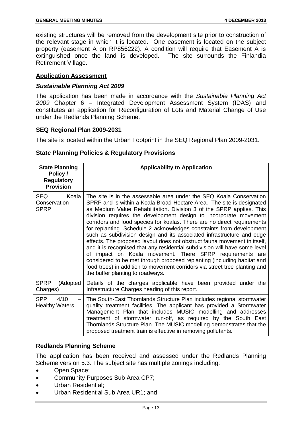existing structures will be removed from the development site prior to construction of the relevant stage in which it is located. One easement is located on the subject property (easement A on RP856222). A condition will require that Easement A is extinguished once the land is developed. The site surrounds the Finlandia Retirement Village.

#### **Application Assessment**

#### *Sustainable Planning Act 2009*

The application has been made in accordance with the *Sustainable Planning Act 2009* Chapter 6 – Integrated Development Assessment System (IDAS) and constitutes an application for Reconfiguration of Lots and Material Change of Use under the Redlands Planning Scheme.

#### **SEQ Regional Plan 2009-2031**

The site is located within the Urban Footprint in the SEQ Regional Plan 2009-2031.

#### **State Planning Policies & Regulatory Provisions**

| <b>State Planning</b><br>Policy /<br><b>Regulatory</b><br><b>Provision</b> | <b>Applicability to Application</b>                                                                                                                                                                                                                                                                                                                                                                                                                                                                                                                                                                                                                                                                                                                                                                                                                                                                                                     |
|----------------------------------------------------------------------------|-----------------------------------------------------------------------------------------------------------------------------------------------------------------------------------------------------------------------------------------------------------------------------------------------------------------------------------------------------------------------------------------------------------------------------------------------------------------------------------------------------------------------------------------------------------------------------------------------------------------------------------------------------------------------------------------------------------------------------------------------------------------------------------------------------------------------------------------------------------------------------------------------------------------------------------------|
| <b>SEQ</b><br>Koala<br>Conservation<br><b>SPRP</b>                         | The site is in the assessable area under the SEQ Koala Conservation<br>SPRP and is within a Koala Broad-Hectare Area. The site is designated<br>as Medium Value Rehabilitation. Division 3 of the SPRP applies. This<br>division requires the development design to incorporate movement<br>corridors and food species for koalas. There are no direct requirements<br>for replanting. Schedule 2 acknowledges constraints from development<br>such as subdivision design and its associated infrastructure and edge<br>effects. The proposed layout does not obstruct fauna movement in itself,<br>and it is recognised that any residential subdivision will have some level<br>of impact on Koala movement. There SPRP requirements are<br>considered to be met through proposed replanting (including habitat and<br>food trees) in addition to movement corridors via street tree planting and<br>the buffer planting to roadways. |
| <b>SPRP</b><br>(Adopted<br>Charges)                                        | Details of the charges applicable have been provided under the<br>Infrastructure Charges heading of this report.                                                                                                                                                                                                                                                                                                                                                                                                                                                                                                                                                                                                                                                                                                                                                                                                                        |
| <b>SPP</b><br>4/10<br><b>Healthy Waters</b>                                | The South-East Thornlands Structure Plan includes regional stormwater<br>quality treatment facilities. The applicant has provided a Stormwater<br>Management Plan that includes MUSIC modelling and addresses<br>treatment of stormwater run-off, as required by the South East<br>Thornlands Structure Plan. The MUSIC modelling demonstrates that the<br>proposed treatment train is effective in removing pollutants.                                                                                                                                                                                                                                                                                                                                                                                                                                                                                                                |

#### **Redlands Planning Scheme**

The application has been received and assessed under the Redlands Planning Scheme version 5.3. The subject site has multiple zonings including:

- Open Space;
- Community Purposes Sub Area CP7;
- Urban Residential;
- Urban Residential Sub Area UR1; and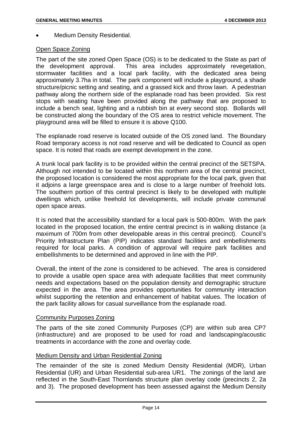• Medium Density Residential.

#### Open Space Zoning

The part of the site zoned Open Space (OS) is to be dedicated to the State as part of the development approval. This area includes approximately revegetation, stormwater facilities and a local park facility, with the dedicated area being approximately 3.7ha in total. The park component will include a playground, a shade structure/picnic setting and seating, and a grassed kick and throw lawn. A pedestrian pathway along the northern side of the esplanade road has been provided. Six rest stops with seating have been provided along the pathway that are proposed to include a bench seat, lighting and a rubbish bin at every second stop. Bollards will be constructed along the boundary of the OS area to restrict vehicle movement. The playground area will be filled to ensure it is above Q100.

The esplanade road reserve is located outside of the OS zoned land. The Boundary Road temporary access is not road reserve and will be dedicated to Council as open space. It is noted that roads are exempt development in the zone.

A trunk local park facility is to be provided within the central precinct of the SETSPA. Although not intended to be located within this northern area of the central precinct, the proposed location is considered the most appropriate for the local park, given that it adjoins a large greenspace area and is close to a large number of freehold lots. The southern portion of this central precinct is likely to be developed with multiple dwellings which, unlike freehold lot developments, will include private communal open space areas.

It is noted that the accessibility standard for a local park is 500-800m. With the park located in the proposed location, the entire central precinct is in walking distance (a maximum of 700m from other developable areas in this central precinct). Council's Priority Infrastructure Plan (PIP) indicates standard facilities and embellishments required for local parks. A condition of approval will require park facilities and embellishments to be determined and approved in line with the PIP.

Overall, the intent of the zone is considered to be achieved. The area is considered to provide a usable open space area with adequate facilities that meet community needs and expectations based on the population density and demographic structure expected in the area. The area provides opportunities for community interaction whilst supporting the retention and enhancement of habitat values. The location of the park facility allows for casual surveillance from the esplanade road.

#### Community Purposes Zoning

The parts of the site zoned Community Purposes (CP) are within sub area CP7 (infrastructure) and are proposed to be used for road and landscaping/acoustic treatments in accordance with the zone and overlay code.

#### Medium Density and Urban Residential Zoning

The remainder of the site is zoned Medium Density Residential (MDR), Urban Residential (UR) and Urban Residential sub-area UR1. The zonings of the land are reflected in the South-East Thornlands structure plan overlay code (precincts 2, 2a and 3). The proposed development has been assessed against the Medium Density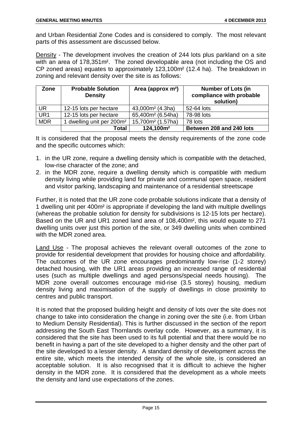and Urban Residential Zone Codes and is considered to comply. The most relevant parts of this assessment are discussed below.

Density - The development involves the creation of 244 lots plus parkland on a site with an area of 178,351m². The zoned developable area (not including the OS and CP zoned areas) equates to approximately 123,100m² (12.4 ha). The breakdown in zoning and relevant density over the site is as follows:

| Zone            | <b>Probable Solution</b><br><b>Density</b> | Area (approx m <sup>2</sup> ) | <b>Number of Lots (in</b><br>compliance with probable<br>solution) |
|-----------------|--------------------------------------------|-------------------------------|--------------------------------------------------------------------|
| <b>UR</b>       | 12-15 lots per hectare                     | 43,000m <sup>2</sup> (4.3ha)  | 52-64 lots                                                         |
| UR <sub>1</sub> | 12-15 lots per hectare                     | 65,400m <sup>2</sup> (6.54ha) | 78-98 lots                                                         |
| <b>MDR</b>      | 1 dwelling unit per 200m <sup>2</sup>      | 15,700m <sup>2</sup> (1.57ha) | 78 lots                                                            |
|                 | Total                                      | 124,100m <sup>2</sup>         | Between 208 and 240 lots                                           |

It is considered that the proposal meets the density requirements of the zone code and the specific outcomes which:

- 1. in the UR zone, require a dwelling density which is compatible with the detached, low-rise character of the zone; and
- 2. in the MDR zone, require a dwelling density which is compatible with medium density living while providing land for private and communal open space, resident and visitor parking, landscaping and maintenance of a residential streetscape

Further, it is noted that the UR zone code probable solutions indicate that a density of 1 dwelling unit per 400m² is appropriate if developing the land with multiple dwellings (whereas the probable solution for density for subdivisions is 12-15 lots per hectare). Based on the UR and UR1 zoned land area of 108,400m², this would equate to 271 dwelling units over just this portion of the site, or 349 dwelling units when combined with the MDR zoned area.

Land Use - The proposal achieves the relevant overall outcomes of the zone to provide for residential development that provides for housing choice and affordability. The outcomes of the UR zone encourages predominantly low-rise (1-2 storey) detached housing, with the UR1 areas providing an increased range of residential uses (such as multiple dwellings and aged persons/special needs housing). The MDR zone overall outcomes encourage mid-rise (3.5 storey) housing, medium density living and maximisation of the supply of dwellings in close proximity to centres and public transport.

It is noted that the proposed building height and density of lots over the site does not change to take into consideration the change in zoning over the site (i.e. from Urban to Medium Density Residential). This is further discussed in the section of the report addressing the South East Thornlands overlay code. However, as a summary, it is considered that the site has been used to its full potential and that there would be no benefit in having a part of the site developed to a higher density and the other part of the site developed to a lesser density. A standard density of development across the entire site, which meets the intended density of the whole site, is considered an acceptable solution. It is also recognised that it is difficult to achieve the higher density in the MDR zone. It is considered that the development as a whole meets the density and land use expectations of the zones.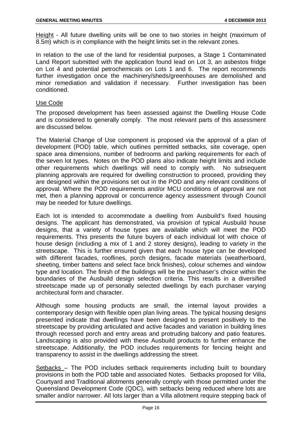Height - All future dwelling units will be one to two stories in height (maximum of 8.5m) which is in compliance with the height limits set in the relevant zones.

In relation to the use of the land for residential purposes, a Stage 1 Contaminated Land Report submitted with the application found lead on Lot 3, an asbestos fridge on Lot 4 and potential petrochemicals on Lots 1 and 6. The report recommends further investigation once the machinery/sheds/greenhouses are demolished and minor remediation and validation if necessary. Further investigation has been conditioned.

#### Use Code

The proposed development has been assessed against the Dwelling House Code and is considered to generally comply. The most relevant parts of this assessment are discussed below.

The Material Change of Use component is proposed via the approval of a plan of development (POD) table, which outlines permitted setbacks, site coverage, open space area dimensions, number of bedrooms and parking requirements for each of the seven lot types. Notes on the POD plans also indicate height limits and include other requirements which dwellings will need to comply with. No subsequent planning approvals are required for dwelling construction to proceed, providing they are designed within the provisions set out in the POD and any relevant conditions of approval. Where the POD requirements and/or MCU conditions of approval are not met, then a planning approval or concurrence agency assessment through Council may be needed for future dwellings.

Each lot is intended to accommodate a dwelling from Ausbuild's fixed housing designs. The applicant has demonstrated, via provision of typical Ausbuild house designs, that a variety of house types are available which will meet the POD requirements. This presents the future buyers of each individual lot with choice of house design (including a mix of 1 and 2 storey designs), leading to variety in the streetscape. This is further ensured given that each house type can be developed with different facades, rooflines, porch designs, facade materials (weatherboard, sheeting, timber battens and select face brick finishes), colour schemes and window type and location. The finish of the buildings will be the purchaser's choice within the boundaries of the Ausbuild design selection criteria. This results in a diversified streetscape made up of personally selected dwellings by each purchaser varying architectural form and character.

Although some housing products are small, the internal layout provides a contemporary design with flexible open plan living areas. The typical housing designs presented indicate that dwellings have been designed to present positively to the streetscape by providing articulated and active facades and variation in building lines through recessed porch and entry areas and protruding balcony and patio features. Landscaping is also provided with these Ausbuild products to further enhance the streetscape. Additionally, the POD includes requirements for fencing height and transparency to assist in the dwellings addressing the street.

Setbacks – The POD includes setback requirements including built to boundary provisions in both the POD table and associated Notes. Setbacks proposed for Villa, Courtyard and Traditional allotments generally comply with those permitted under the Queensland Development Code (QDC), with setbacks being reduced where lots are smaller and/or narrower. All lots larger than a Villa allotment require stepping back of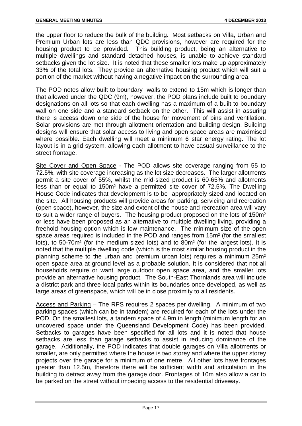the upper floor to reduce the bulk of the building. Most setbacks on Villa, Urban and Premium Urban lots are less than QDC provisions, however are required for the housing product to be provided. This building product, being an alternative to multiple dwellings and standard detached houses, is unable to achieve standard setbacks given the lot size. It is noted that these smaller lots make up approximately 33% of the total lots. They provide an alternative housing product which will suit a portion of the market without having a negative impact on the surrounding area.

The POD notes allow built to boundary walls to extend to 15m which is longer than that allowed under the QDC (9m), however, the POD plans include built to boundary designations on all lots so that each dwelling has a maximum of a built to boundary wall on one side and a standard setback on the other. This will assist in assuring there is access down one side of the house for movement of bins and ventilation. Solar provisions are met through allotment orientation and building design. Building designs will ensure that solar access to living and open space areas are maximised where possible. Each dwelling will meet a minimum 6 star energy rating. The lot layout is in a grid system, allowing each allotment to have casual surveillance to the street frontage.

Site Cover and Open Space - The POD allows site coverage ranging from 55 to 72.5%, with site coverage increasing as the lot size decreases. The larger allotments permit a site cover of 55%, whilst the mid-sized product is 60-65% and allotments less than or equal to 150m² have a permitted site cover of 72.5%. The Dwelling House Code indicates that development is to be appropriately sized and located on the site. All housing products will provide areas for parking, servicing and recreation (open space), however, the size and extent of the house and recreation area will vary to suit a wider range of buyers. The housing product proposed on the lots of 150m² or less have been proposed as an alternative to multiple dwelling living, providing a freehold housing option which is low maintenance. The minimum size of the open space areas required is included in the POD and ranges from 15m<sup>2</sup> (for the smallest lots), to 50-70m² (for the medium sized lots) and to 80m² (for the largest lots). It is noted that the multiple dwelling code (which is the most similar housing product in the planning scheme to the urban and premium urban lots) requires a minimum 25m² open space area at ground level as a probable solution. It is considered that not all households require or want large outdoor open space area, and the smaller lots provide an alternative housing product. The South-East Thornlands area will include a district park and three local parks within its boundaries once developed, as well as large areas of greenspace, which will be in close proximity to all residents.

Access and Parking – The RPS requires 2 spaces per dwelling. A minimum of two parking spaces (which can be in tandem) are required for each of the lots under the POD. On the smallest lots, a tandem space of 4.9m in length (minimum length for an uncovered space under the Queensland Development Code) has been provided. Setbacks to garages have been specified for all lots and it is noted that house setbacks are less than garage setbacks to assist in reducing dominance of the garage. Additionally, the POD indicates that double garages on Villa allotments or smaller, are only permitted where the house is two storey and where the upper storey projects over the garage for a minimum of one metre. All other lots have frontages greater than 12.5m, therefore there will be sufficient width and articulation in the building to detract away from the garage door. Frontages of 10m also allow a car to be parked on the street without impeding access to the residential driveway.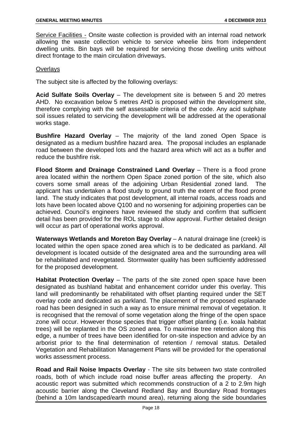Service Facilities - Onsite waste collection is provided with an internal road network allowing the waste collection vehicle to service wheelie bins from independent dwelling units. Bin bays will be required for servicing those dwelling units without direct frontage to the main circulation driveways.

#### **Overlays**

The subject site is affected by the following overlays:

**Acid Sulfate Soils Overlay** – The development site is between 5 and 20 metres AHD. No excavation below 5 metres AHD is proposed within the development site, therefore complying with the self assessable criteria of the code. Any acid sulphate soil issues related to servicing the development will be addressed at the operational works stage.

**Bushfire Hazard Overlay** – The majority of the land zoned Open Space is designated as a medium bushfire hazard area. The proposal includes an esplanade road between the developed lots and the hazard area which will act as a buffer and reduce the bushfire risk.

**Flood Storm and Drainage Constrained Land Overlay** – There is a flood prone area located within the northern Open Space zoned portion of the site, which also covers some small areas of the adjoining Urban Residential zoned land. The applicant has undertaken a flood study to ground truth the extent of the flood prone land. The study indicates that post development, all internal roads, access roads and lots have been located above Q100 and no worsening for adjoining properties can be achieved. Council's engineers have reviewed the study and confirm that sufficient detail has been provided for the ROL stage to allow approval. Further detailed design will occur as part of operational works approval.

**Waterways Wetlands and Moreton Bay Overlay** – A natural drainage line (creek) is located within the open space zoned area which is to be dedicated as parkland. All development is located outside of the designated area and the surrounding area will be rehabilitated and revegetated. Stormwater quality has been sufficiently addressed for the proposed development.

**Habitat Protection Overlay** – The parts of the site zoned open space have been designated as bushland habitat and enhancement corridor under this overlay. This land will predominantly be rehabilitated with offset planting required under the SET overlay code and dedicated as parkland. The placement of the proposed esplanade road has been designed in such a way as to ensure minimal removal of vegetation. It is recognised that the removal of some vegetation along the fringe of the open space zone will occur. However those species that trigger offset planting (i.e. koala habitat trees) will be replanted in the OS zoned area. To maximise tree retention along this edge, a number of trees have been identified for on-site inspection and advice by an arborist prior to the final determination of retention / removal status. Detailed Vegetation and Rehabilitation Management Plans will be provided for the operational works assessment process.

**Road and Rail Noise Impacts Overlay** - The site sits between two state controlled roads, both of which include road noise buffer areas affecting the property. An acoustic report was submitted which recommends construction of a 2 to 2.9m high acoustic barrier along the Cleveland Redland Bay and Boundary Road frontages (behind a 10m landscaped/earth mound area), returning along the side boundaries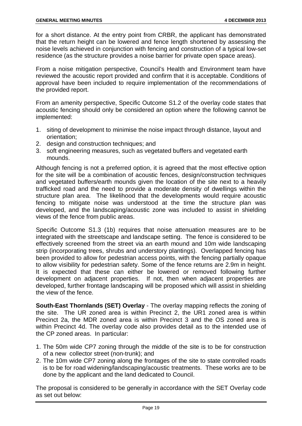for a short distance. At the entry point from CRBR, the applicant has demonstrated that the return height can be lowered and fence length shortened by assessing the noise levels achieved in conjunction with fencing and construction of a typical low-set residence (as the structure provides a noise barrier for private open space areas).

From a noise mitigation perspective, Council's Health and Environment team have reviewed the acoustic report provided and confirm that it is acceptable. Conditions of approval have been included to require implementation of the recommendations of the provided report.

From an amenity perspective, Specific Outcome S1.2 of the overlay code states that acoustic fencing should only be considered an option where the following cannot be implemented:

- 1. siting of development to minimise the noise impact through distance, layout and orientation;
- 2. design and construction techniques; and
- 3. soft engineering measures, such as vegetated buffers and vegetated earth mounds.

Although fencing is not a preferred option, it is agreed that the most effective option for the site will be a combination of acoustic fences, design/construction techniques and vegetated buffers/earth mounds given the location of the site next to a heavily trafficked road and the need to provide a moderate density of dwellings within the structure plan area. The likelihood that the developments would require acoustic fencing to mitigate noise was understood at the time the structure plan was developed, and the landscaping/acoustic zone was included to assist in shielding views of the fence from public areas.

Specific Outcome S1.3 (1b) requires that noise attenuation measures are to be integrated with the streetscape and landscape setting. The fence is considered to be effectively screened from the street via an earth mound and 10m wide landscaping strip (incorporating trees, shrubs and understory plantings). Overlapped fencing has been provided to allow for pedestrian access points, with the fencing partially opaque to allow visibility for pedestrian safety. Some of the fence returns are 2.9m in height. It is expected that these can either be lowered or removed following further development on adjacent properties. If not, then when adjacent properties are developed, further frontage landscaping will be proposed which will assist in shielding the view of the fence.

**South-East Thornlands (SET) Overlay** - The overlay mapping reflects the zoning of the site. The UR zoned area is within Precinct 2, the UR1 zoned area is within Precinct 2a, the MDR zoned area is within Precinct 3 and the OS zoned area is within Precinct 4d. The overlay code also provides detail as to the intended use of the CP zoned areas. In particular:

- 1. The 50m wide CP7 zoning through the middle of the site is to be for construction of a new collector street (non-trunk); and
- 2. The 10m wide CP7 zoning along the frontages of the site to state controlled roads is to be for road widening/landscaping/acoustic treatments. These works are to be done by the applicant and the land dedicated to Council.

The proposal is considered to be generally in accordance with the SET Overlay code as set out below: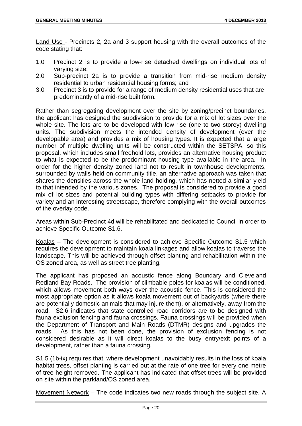Land Use - Precincts 2, 2a and 3 support housing with the overall outcomes of the code stating that:

- 1.0 Precinct 2 is to provide a low-rise detached dwellings on individual lots of varying size;
- 2.0 Sub-precinct 2a is to provide a transition from mid-rise medium density residential to urban residential housing forms; and
- 3.0 Precinct 3 is to provide for a range of medium density residential uses that are predominantly of a mid-rise built form.

Rather than segregating development over the site by zoning/precinct boundaries, the applicant has designed the subdivision to provide for a mix of lot sizes over the whole site. The lots are to be developed with low rise (one to two storey) dwelling units. The subdivision meets the intended density of development (over the developable area) and provides a mix of housing types. It is expected that a large number of multiple dwelling units will be constructed within the SETSPA, so this proposal, which includes small freehold lots, provides an alternative housing product to what is expected to be the predominant housing type available in the area. In order for the higher density zoned land not to result in townhouse developments, surrounded by walls held on community title, an alternative approach was taken that shares the densities across the whole land holding, which has netted a similar yield to that intended by the various zones. The proposal is considered to provide a good mix of lot sizes and potential building types with differing setbacks to provide for variety and an interesting streetscape, therefore complying with the overall outcomes of the overlay code.

Areas within Sub-Precinct 4d will be rehabilitated and dedicated to Council in order to achieve Specific Outcome S1.6.

Koalas – The development is considered to achieve Specific Outcome S1.5 which requires the development to maintain koala linkages and allow koalas to traverse the landscape. This will be achieved through offset planting and rehabilitation within the OS zoned area, as well as street tree planting.

The applicant has proposed an acoustic fence along Boundary and Cleveland Redland Bay Roads. The provision of climbable poles for koalas will be conditioned, which allows movement both ways over the acoustic fence. This is considered the most appropriate option as it allows koala movement out of backyards (where there are potentially domestic animals that may injure them), or alternatively, away from the road. S2.6 indicates that state controlled road corridors are to be designed with fauna exclusion fencing and fauna crossings. Fauna crossings will be provided when the Department of Transport and Main Roads (DTMR) designs and upgrades the roads. As this has not been done, the provision of exclusion fencing is not considered desirable as it will direct koalas to the busy entry/exit points of a development, rather than a fauna crossing.

S1.5 (1b-ix) requires that, where development unavoidably results in the loss of koala habitat trees, offset planting is carried out at the rate of one tree for every one metre of tree height removed. The applicant has indicated that offset trees will be provided on site within the parkland/OS zoned area.

Movement Network – The code indicates two new roads through the subject site. A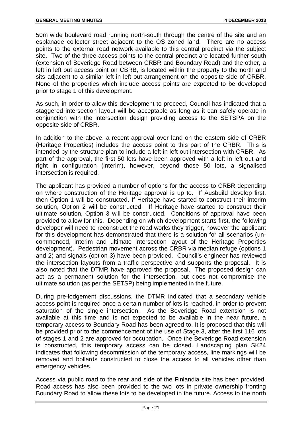50m wide boulevard road running north-south through the centre of the site and an esplanade collector street adjacent to the OS zoned land. There are no access points to the external road network available to this central precinct via the subject site. Two of the three access points to the central precinct are located further south (extension of Beveridge Road between CRBR and Boundary Road) and the other, a left in left out access point on CBRB, is located within the property to the north and sits adjacent to a similar left in left out arrangement on the opposite side of CRBR. None of the properties which include access points are expected to be developed prior to stage 1 of this development.

As such, in order to allow this development to proceed, Council has indicated that a staggered intersection layout will be acceptable as long as it can safely operate in conjunction with the intersection design providing access to the SETSPA on the opposite side of CRBR.

In addition to the above, a recent approval over land on the eastern side of CRBR (Heritage Properties) includes the access point to this part of the CRBR. This is intended by the structure plan to include a left in left out intersection with CRBR. As part of the approval, the first 50 lots have been approved with a left in left out and right in configuration (interim), however, beyond those 50 lots, a signalised intersection is required.

The applicant has provided a number of options for the access to CRBR depending on where construction of the Heritage approval is up to. If Ausbuild develop first, then Option 1 will be constructed. If Heritage have started to construct their interim solution, Option 2 will be constructed. If Heritage have started to construct their ultimate solution, Option 3 will be constructed. Conditions of approval have been provided to allow for this. Depending on which development starts first, the following developer will need to reconstruct the road works they trigger, however the applicant for this development has demonstrated that there is a solution for all scenarios (uncommenced, interim and ultimate intersection layout of the Heritage Properties development). Pedestrian movement across the CRBR via median refuge (options 1 and 2) and signals (option 3) have been provided. Council's engineer has reviewed the intersection layouts from a traffic perspective and supports the proposal. It is also noted that the DTMR have approved the proposal. The proposed design can act as a permanent solution for the intersection, but does not compromise the ultimate solution (as per the SETSP) being implemented in the future.

During pre-lodgement discussions, the DTMR indicated that a secondary vehicle access point is required once a certain number of lots is reached, in order to prevent saturation of the single intersection. As the Beveridge Road extension is not available at this time and is not expected to be available in the near future, a temporary access to Boundary Road has been agreed to. It is proposed that this will be provided prior to the commencement of the use of Stage 3, after the first 116 lots of stages 1 and 2 are approved for occupation. Once the Beveridge Road extension is constructed, this temporary access can be closed. Landscaping plan SK24 indicates that following decommission of the temporary access, line markings will be removed and bollards constructed to close the access to all vehicles other than emergency vehicles.

Access via public road to the rear and side of the Finlandia site has been provided. Road access has also been provided to the two lots in private ownership fronting Boundary Road to allow these lots to be developed in the future. Access to the north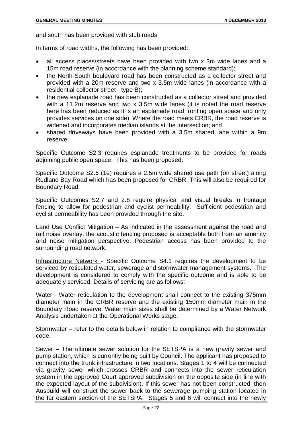and south has been provided with stub roads.

In terms of road widths, the following has been provided:

- all access places/streets have been provided with two x 3m wide lanes and a 15m road reserve (in accordance with the planning scheme standard);
- the North-South boulevard road has been constructed as a collector street and provided with a 20m reserve and two x 3.5m wide lanes (in accordance with a residential collector street - type B);
- the new esplanade road has been constructed as a collector street and provided with a 11.2m reserve and two x 3.5m wide lanes (it is noted the road reserve here has been reduced as it is an esplanade road fronting open space and only provides services on one side). Where the road meets CRBR, the road reserve is widened and incorporates median islands at the intersection; and
- shared driveways have been provided with a 3.5m shared lane within a 9m reserve.

Specific Outcome S2.3 requires esplanade treatments to be provided for roads adjoining public open space. This has been proposed.

Specific Outcome S2.6 (1e) requires a 2.5m wide shared use path (on street) along Redland Bay Road which has been proposed for CRBR. This will also be required for Boundary Road.

Specific Outcomes S2.7 and 2.8 require physical and visual breaks in frontage fencing to allow for pedestrian and cyclist permeability. Sufficient pedestrian and cyclist permeability has been provided through the site.

Land Use Conflict Mitigation – As indicated in the assessment against the road and rail noise overlay, the acoustic fencing proposed is acceptable both from an amenity and noise mitigation perspective. Pedestrian access has been provided to the surrounding road network.

Infrastructure Network - Specific Outcome S4.1 requires the development to be serviced by reticulated water, sewerage and stormwater management systems. The development is considered to comply with the specific outcome and is able to be adequately serviced. Details of servicing are as follows:

Water - Water reticulation to the development shall connect to the existing 375mm diameter main in the CRBR reserve and the existing 150mm diameter main in the Boundary Road reserve. Water main sizes shall be determined by a Water Network Analysis undertaken at the Operational Works stage.

Stormwater – refer to the details below in relation to compliance with the stormwater code.

Sewer – The ultimate sewer solution for the SETSPA is a new gravity sewer and pump station, which is currently being built by Council. The applicant has proposed to connect into the trunk infrastructure in two locations. Stages 1 to 4 will be connected via gravity sewer which crosses CRBR and connects into the sewer reticulation system in the approved Court approved subdivision on the opposite side (in line with the expected layout of the subdivision). If this sewer has not been constructed, then Ausbuild will construct the sewer back to the sewerage pumping station located in the far eastern section of the SETSPA. Stages 5 and 6 will connect into the newly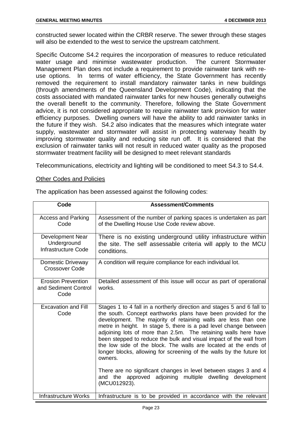constructed sewer located within the CRBR reserve. The sewer through these stages will also be extended to the west to service the upstream catchment.

Specific Outcome S4.2 requires the incorporation of measures to reduce reticulated water usage and minimise wastewater production. The current Stormwater Management Plan does not include a requirement to provide rainwater tank with reuse options. In terms of water efficiency, the State Government has recently removed the requirement to install mandatory rainwater tanks in new buildings (through amendments of the Queensland Development Code), indicating that the costs associated with mandated rainwater tanks for new houses generally outweighs the overall benefit to the community. Therefore, following the State Government advice, it is not considered appropriate to require rainwater tank provision for water efficiency purposes. Dwelling owners will have the ability to add rainwater tanks in the future if they wish. S4.2 also indicates that the measures which integrate water supply, wastewater and stormwater will assist in protecting waterway health by improving stormwater quality and reducing site run off. It is considered that the exclusion of rainwater tanks will not result in reduced water quality as the proposed stormwater treatment facility will be designed to meet relevant standards

Telecommunications, electricity and lighting will be conditioned to meet S4.3 to S4.4.

#### Other Codes and Policies

| Code                                                      | <b>Assessment/Comments</b>                                                                                                                                                                                                                                                                                                                                                                                                                                                                                                                                                                                                                                                                                                    |
|-----------------------------------------------------------|-------------------------------------------------------------------------------------------------------------------------------------------------------------------------------------------------------------------------------------------------------------------------------------------------------------------------------------------------------------------------------------------------------------------------------------------------------------------------------------------------------------------------------------------------------------------------------------------------------------------------------------------------------------------------------------------------------------------------------|
| <b>Access and Parking</b><br>Code                         | Assessment of the number of parking spaces is undertaken as part<br>of the Dwelling House Use Code review above.                                                                                                                                                                                                                                                                                                                                                                                                                                                                                                                                                                                                              |
| Development Near<br>Underground<br>Infrastructure Code    | There is no existing underground utility infrastructure within<br>the site. The self assessable criteria will apply to the MCU<br>conditions.                                                                                                                                                                                                                                                                                                                                                                                                                                                                                                                                                                                 |
| Domestic Driveway<br><b>Crossover Code</b>                | A condition will require compliance for each individual lot.                                                                                                                                                                                                                                                                                                                                                                                                                                                                                                                                                                                                                                                                  |
| <b>Erosion Prevention</b><br>and Sediment Control<br>Code | Detailed assessment of this issue will occur as part of operational<br>works.                                                                                                                                                                                                                                                                                                                                                                                                                                                                                                                                                                                                                                                 |
| <b>Excavation and Fill</b><br>Code                        | Stages 1 to 4 fall in a northerly direction and stages 5 and 6 fall to<br>the south. Concept earthworks plans have been provided for the<br>development. The majority of retaining walls are less than one<br>metre in height. In stage 5, there is a pad level change between<br>adjoining lots of more than 2.5m. The retaining walls here have<br>been stepped to reduce the bulk and visual impact of the wall from<br>the low side of the block. The walls are located at the ends of<br>longer blocks, allowing for screening of the walls by the future lot<br>owners.<br>There are no significant changes in level between stages 3 and 4<br>and the approved adjoining multiple dwelling development<br>(MCU012923). |
| <b>Infrastructure Works</b>                               | Infrastructure is to be provided in accordance with the relevant                                                                                                                                                                                                                                                                                                                                                                                                                                                                                                                                                                                                                                                              |

The application has been assessed against the following codes: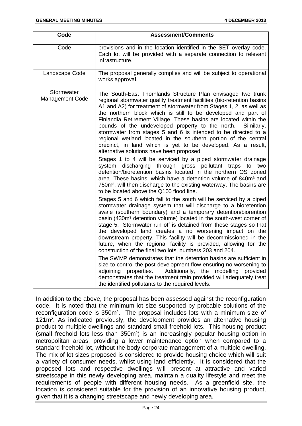| Code                                 | <b>Assessment/Comments</b>                                                                                                                                                                                                                                                                                                                                                                                                                                                                                                                                                                                                                                                                                                                                                                                                                                                                                                                                                                                                                                                                                                                                                                                                                                                                                                                                                                                                                                                                                                                                                                                                                                                                                                                                                                                                                                                                                                                                                                                                                                        |
|--------------------------------------|-------------------------------------------------------------------------------------------------------------------------------------------------------------------------------------------------------------------------------------------------------------------------------------------------------------------------------------------------------------------------------------------------------------------------------------------------------------------------------------------------------------------------------------------------------------------------------------------------------------------------------------------------------------------------------------------------------------------------------------------------------------------------------------------------------------------------------------------------------------------------------------------------------------------------------------------------------------------------------------------------------------------------------------------------------------------------------------------------------------------------------------------------------------------------------------------------------------------------------------------------------------------------------------------------------------------------------------------------------------------------------------------------------------------------------------------------------------------------------------------------------------------------------------------------------------------------------------------------------------------------------------------------------------------------------------------------------------------------------------------------------------------------------------------------------------------------------------------------------------------------------------------------------------------------------------------------------------------------------------------------------------------------------------------------------------------|
| Code                                 | provisions and in the location identified in the SET overlay code.<br>Each lot will be provided with a separate connection to relevant<br>infrastructure.                                                                                                                                                                                                                                                                                                                                                                                                                                                                                                                                                                                                                                                                                                                                                                                                                                                                                                                                                                                                                                                                                                                                                                                                                                                                                                                                                                                                                                                                                                                                                                                                                                                                                                                                                                                                                                                                                                         |
| Landscape Code                       | The proposal generally complies and will be subject to operational<br>works approval.                                                                                                                                                                                                                                                                                                                                                                                                                                                                                                                                                                                                                                                                                                                                                                                                                                                                                                                                                                                                                                                                                                                                                                                                                                                                                                                                                                                                                                                                                                                                                                                                                                                                                                                                                                                                                                                                                                                                                                             |
| Stormwater<br><b>Management Code</b> | The South-East Thornlands Structure Plan envisaged two trunk<br>regional stormwater quality treatment facilities (bio-retention basins<br>A1 and A2) for treatment of stormwater from Stages 1, 2, as well as<br>the northern block which is still to be developed and part of<br>Finlandia Retirement Village. These basins are located within the<br>bounds of the undeveloped property to the north.<br>Similarly,<br>stormwater from stages 5 and 6 is intended to be directed to a<br>regional wetland located in the southern portion of the central<br>precinct, in land which is yet to be developed. As a result,<br>alternative solutions have been proposed.<br>Stages 1 to 4 will be serviced by a piped stormwater drainage<br>system discharging through gross pollutant traps to two<br>detention/bioretention basins located in the northern OS zoned<br>area. These basins, which have a detention volume of 840m <sup>3</sup> and<br>750m <sup>3</sup> , will then discharge to the existing waterway. The basins are<br>to be located above the Q100 flood line.<br>Stages 5 and 6 which fall to the south will be serviced by a piped<br>stormwater drainage system that will discharge to a bioretention<br>swale (southern boundary) and a temporary detention/biorention<br>basin (430m <sup>3</sup> detention volume) located in the south-west corner of<br>stage 5. Stormwater run off is detained from these stages so that<br>the developed land creates a no worsening impact on the<br>downstream property. This facility will be decommissioned in the<br>future, when the regional facility is provided, allowing for the<br>construction of the final two lots, numbers 203 and 204.<br>The SWMP demonstrates that the detention basins are sufficient in<br>size to control the post development flow ensuring no-worsening to<br>Additionally, the<br>modelling provided<br>adjoining properties.<br>demonstrates that the treatment train provided will adequately treat<br>the identified pollutants to the required levels. |

In addition to the above, the proposal has been assessed against the reconfiguration code. It is noted that the minimum lot size supported by probable solutions of the reconfiguration code is 350m². The proposal includes lots with a minimum size of 121m². As indicated previously, the development provides an alternative housing product to multiple dwellings and standard small freehold lots. This housing product (small freehold lots less than 350m²) is an increasingly popular housing option in metropolitan areas, providing a lower maintenance option when compared to a standard freehold lot, without the body corporate management of a multiple dwelling. The mix of lot sizes proposed is considered to provide housing choice which will suit a variety of consumer needs, whilst using land efficiently. It is considered that the proposed lots and respective dwellings will present at attractive and varied streetscape in this newly developing area, maintain a quality lifestyle and meet the requirements of people with different housing needs. As a greenfield site, the location is considered suitable for the provision of an innovative housing product, given that it is a changing streetscape and newly developing area.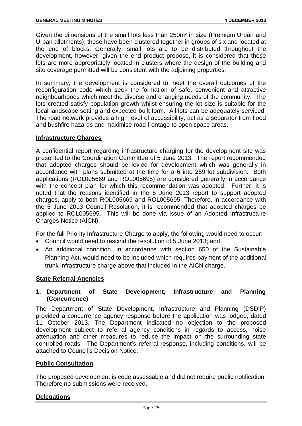Given the dimensions of the small lots less than 250m² in size (Premium Urban and Urban allotments), these have been clustered together in groups of six and located at the end of blocks. Generally, small lots are to be distributed throughout the development, however, given the end product propose, it is considered that these lots are more appropriately located in clusters where the design of the building and site coverage permitted will be consistent with the adjoining properties.

In summary, the development is considered to meet the overall outcomes of the reconfiguration code which seek the formation of safe, convenient and attractive neighbourhoods which meet the diverse and changing needs of the community. The lots created satisfy population growth whilst ensuring the lot size is suitable for the local landscape setting and expected built form. All lots can be adequately serviced. The road network provides a high level of accessibility, act as a separator from flood and bushfire hazards and maximise road frontage to open space areas.

#### **Infrastructure Charges**

A confidential report regarding infrastructure charging for the development site was presented to the Coordination Committee of 5 June 2013. The report recommended that adopted charges should be levied for development which was generally in accordance with plans submitted at the time for a 6 into 259 lot subdivision. Both applications (ROL005669 and ROL005695) are considered generally in accordance with the concept plan for which this recommendation was adopted. Further, it is noted that the reasons identified in the 5 June 2013 report to support adopted charges, apply to both ROL005669 and ROL005695. Therefore, in accordance with the 5 June 2013 Council Resolution, it is recommended that adopted charges be applied to ROL005695. This will be done via issue of an Adopted Infrastructure Charges Notice (AICN).

For the full Priority Infrastructure Charge to apply, the following would need to occur:

- Council would need to rescind the resolution of 5 June 2013; and
- An additional condition, in accordance with section 650 of the Sustainable Planning Act, would need to be included which requires payment of the additional trunk infrastructure charge above that included in the AICN charge.

#### **State Referral Agencies**

#### **1. Department of State Development, Infrastructure and Planning (Concurrence)**

The Department of State Development, Infrastructure and Planning (DSDIP) provided a concurrence agency response before the application was lodged, dated 11 October 2013. The Department indicated no objection to the proposed development subject to referral agency conditions in regards to access, noise attenuation and other measures to reduce the impact on the surrounding state controlled roads. The Department's referral response, including conditions, will be attached to Council's Decision Notice.

#### **Public Consultation**

The proposed development is code assessable and did not require public notification. Therefore no submissions were received.

#### **Delegations**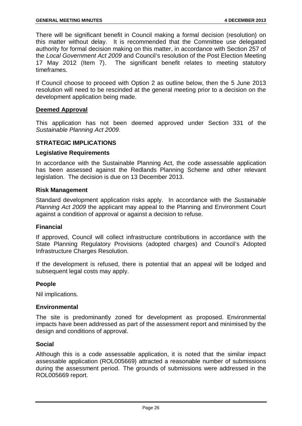There will be significant benefit in Council making a formal decision (resolution) on this matter without delay. It is recommended that the Committee use delegated authority for formal decision making on this matter, in accordance with Section 257 of the *Local Government Act 2009* and Council's resolution of the Post Election Meeting 17 May 2012 (Item 7). The significant benefit relates to meeting statutory timeframes.

If Council choose to proceed with Option 2 as outline below, then the 5 June 2013 resolution will need to be rescinded at the general meeting prior to a decision on the development application being made.

#### **Deemed Approval**

This application has not been deemed approved under Section 331 of the *Sustainable Planning Act 2009*.

#### **STRATEGIC IMPLICATIONS**

#### **Legislative Requirements**

In accordance with the Sustainable Planning Act, the code assessable application has been assessed against the Redlands Planning Scheme and other relevant legislation. The decision is due on 13 December 2013.

#### **Risk Management**

Standard development application risks apply. In accordance with the *Sustainable Planning Act 2009* the applicant may appeal to the Planning and Environment Court against a condition of approval or against a decision to refuse.

#### **Financial**

If approved, Council will collect infrastructure contributions in accordance with the State Planning Regulatory Provisions (adopted charges) and Council's Adopted Infrastructure Charges Resolution.

If the development is refused, there is potential that an appeal will be lodged and subsequent legal costs may apply.

#### **People**

Nil implications.

#### **Environmental**

The site is predominantly zoned for development as proposed. Environmental impacts have been addressed as part of the assessment report and minimised by the design and conditions of approval.

#### **Social**

Although this is a code assessable application, it is noted that the similar impact assessable application (ROL005669) attracted a reasonable number of submissions during the assessment period. The grounds of submissions were addressed in the ROL005669 report.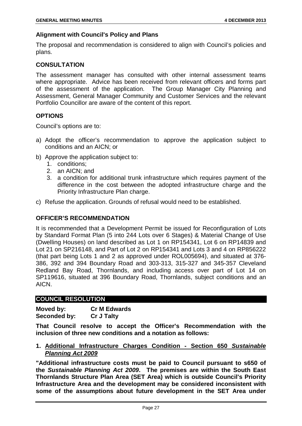#### **Alignment with Council's Policy and Plans**

The proposal and recommendation is considered to align with Council's policies and plans.

#### **CONSULTATION**

The assessment manager has consulted with other internal assessment teams where appropriate. Advice has been received from relevant officers and forms part of the assessment of the application. The Group Manager City Planning and Assessment, General Manager Community and Customer Services and the relevant Portfolio Councillor are aware of the content of this report.

#### **OPTIONS**

Council's options are to:

- a) Adopt the officer's recommendation to approve the application subject to conditions and an AICN; or
- b) Approve the application subject to:
	- 1. conditions;
	- 2. an AICN; and
	- 3. a condition for additional trunk infrastructure which requires payment of the difference in the cost between the adopted infrastructure charge and the Priority Infrastructure Plan charge.
- c) Refuse the application. Grounds of refusal would need to be established.

#### **OFFICER'S RECOMMENDATION**

It is recommended that a Development Permit be issued for Reconfiguration of Lots by Standard Format Plan (5 into 244 Lots over 6 Stages) & Material Change of Use (Dwelling Houses) on land described as Lot 1 on RP154341, Lot 6 on RP14839 and Lot 21 on SP216148, and Part of Lot 2 on RP154341 and Lots 3 and 4 on RP856222 (that part being Lots 1 and 2 as approved under ROL005694), and situated at 376- 386, 392 and 394 Boundary Road and 303-313, 315-327 and 345-357 Cleveland Redland Bay Road, Thornlands, and including access over part of Lot 14 on SP119616, situated at 396 Boundary Road, Thornlands, subject conditions and an AICN.

#### **COUNCIL RESOLUTION**

| Moved by:    | <b>Cr M Edwards</b> |
|--------------|---------------------|
| Seconded by: | <b>Cr J Talty</b>   |

**That Council resolve to accept the Officer's Recommendation with the inclusion of three new conditions and a notation as follows:** 

#### **1. Additional Infrastructure Charges Condition - Section 650** *Sustainable Planning Act 2009*

**"Additional infrastructure costs must be paid to Council pursuant to s650 of the** *Sustainable Planning Act 2009***. The premises are within the South East Thornlands Structure Plan Area (SET Area) which is outside Council's Priority Infrastructure Area and the development may be considered inconsistent with some of the assumptions about future development in the SET Area under**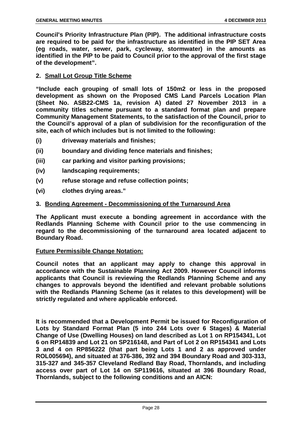**Council's Priority Infrastructure Plan (PIP). The additional infrastructure costs are required to be paid for the infrastructure as identified in the PIP SET Area (eg roads, water, sewer, park, cycleway, stormwater) in the amounts as identified in the PIP to be paid to Council prior to the approval of the first stage of the development".**

#### **2. Small Lot Group Title Scheme**

**"Include each grouping of small lots of 150m2 or less in the proposed development as shown on the Proposed CMS Land Parcels Location Plan (Sheet No. ASB22-CMS 1a, revision A) dated 27 November 2013 in a community titles scheme pursuant to a standard format plan and prepare Community Management Statements, to the satisfaction of the Council, prior to the Council's approval of a plan of subdivision for the reconfiguration of the site, each of which includes but is not limited to the following:**

- **(i) driveway materials and finishes;**
- **(ii) boundary and dividing fence materials and finishes;**
- **(iii) car parking and visitor parking provisions;**
- **(iv) landscaping requirements;**
- **(v) refuse storage and refuse collection points;**
- **(vi) clothes drying areas."**

#### **3. Bonding Agreement - Decommissioning of the Turnaround Area**

**The Applicant must execute a bonding agreement in accordance with the Redlands Planning Scheme with Council prior to the use commencing in regard to the decommissioning of the turnaround area located adjacent to Boundary Road.** 

#### **Future Permissible Change Notation:**

**Council notes that an applicant may apply to change this approval in accordance with the Sustainable Planning Act 2009. However Council informs applicants that Council is reviewing the Redlands Planning Scheme and any changes to approvals beyond the identified and relevant probable solutions with the Redlands Planning Scheme (as it relates to this development) will be strictly regulated and where applicable enforced.**

**It is recommended that a Development Permit be issued for Reconfiguration of Lots by Standard Format Plan (5 into 244 Lots over 6 Stages) & Material Change of Use (Dwelling Houses) on land described as Lot 1 on RP154341, Lot 6 on RP14839 and Lot 21 on SP216148, and Part of Lot 2 on RP154341 and Lots 3 and 4 on RP856222 (that part being Lots 1 and 2 as approved under ROL005694), and situated at 376-386, 392 and 394 Boundary Road and 303-313, 315-327 and 345-357 Cleveland Redland Bay Road, Thornlands, and including access over part of Lot 14 on SP119616, situated at 396 Boundary Road, Thornlands, subject to the following conditions and an AICN:**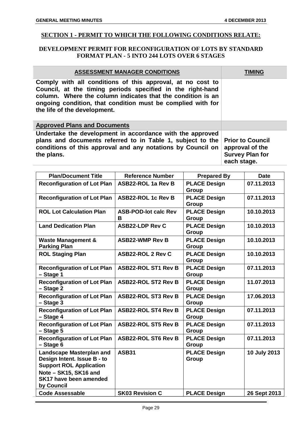#### **SECTION 1 - PERMIT TO WHICH THE FOLLOWING CONDITIONS RELATE:**

#### **DEVELOPMENT PERMIT FOR RECONFIGURATION OF LOTS BY STANDARD FORMAT PLAN - 5 INTO 244 LOTS OVER 6 STAGES**

| <b>ASSESSMENT MANAGER CONDITIONS</b>                                                                                                                                                                                                                                                   | TIMING                                                                              |
|----------------------------------------------------------------------------------------------------------------------------------------------------------------------------------------------------------------------------------------------------------------------------------------|-------------------------------------------------------------------------------------|
| Comply with all conditions of this approval, at no cost to<br>Council, at the timing periods specified in the right-hand<br>column. Where the column indicates that the condition is an<br>ongoing condition, that condition must be complied with for<br>the life of the development. |                                                                                     |
| <b>Approved Plans and Documents</b>                                                                                                                                                                                                                                                    |                                                                                     |
| Undertake the development in accordance with the approved<br>plans and documents referred to in Table 1, subject to the<br>conditions of this approval and any notations by Council on<br>the plans.                                                                                   | <b>Prior to Council</b><br>approval of the<br><b>Survey Plan for</b><br>each stage. |

| <b>Plan/Document Title</b>                                                                       | <b>Reference Number</b>          | <b>Prepared By</b>                  | <b>Date</b>  |
|--------------------------------------------------------------------------------------------------|----------------------------------|-------------------------------------|--------------|
| <b>Reconfiguration of Lot Plan</b>                                                               | ASB22-ROL 1a Rev B               | <b>PLACE Design</b><br><b>Group</b> | 07.11.2013   |
| <b>Reconfiguration of Lot Plan</b>                                                               | <b>ASB22-ROL 1c Rev B</b>        | <b>PLACE Design</b><br><b>Group</b> | 07.11.2013   |
| <b>ROL Lot Calculation Plan</b>                                                                  | <b>ASB-POD-lot calc Rev</b><br>в | <b>PLACE Design</b><br><b>Group</b> | 10.10.2013   |
| <b>Land Dedication Plan</b>                                                                      | <b>ASB22-LDP Rev C</b>           | <b>PLACE Design</b><br><b>Group</b> | 10.10.2013   |
| <b>Waste Management &amp;</b><br><b>Parking Plan</b>                                             | <b>ASB22-WMP Rev B</b>           | <b>PLACE Design</b><br><b>Group</b> | 10.10.2013   |
| <b>ROL Staging Plan</b>                                                                          | <b>ASB22-ROL 2 Rev C</b>         | <b>PLACE Design</b><br><b>Group</b> | 10.10.2013   |
| <b>Reconfiguration of Lot Plan</b><br>- Stage 1                                                  | <b>ASB22-ROL ST1 Rev B</b>       | <b>PLACE Design</b><br>Group        | 07.11.2013   |
| <b>Reconfiguration of Lot Plan</b><br>$-$ Stage 2                                                | <b>ASB22-ROL ST2 Rev B</b>       | <b>PLACE Design</b><br>Group        | 11.07.2013   |
| <b>Reconfiguration of Lot Plan</b><br>$-$ Stage 3                                                | <b>ASB22-ROL ST3 Rev B</b>       | <b>PLACE Design</b><br><b>Group</b> | 17.06.2013   |
| <b>Reconfiguration of Lot Plan</b><br>- Stage 4                                                  | <b>ASB22-ROL ST4 Rev B</b>       | <b>PLACE Design</b><br><b>Group</b> | 07.11.2013   |
| <b>Reconfiguration of Lot Plan</b><br>$-$ Stage 5                                                | <b>ASB22-ROL ST5 Rev B</b>       | <b>PLACE Design</b><br><b>Group</b> | 07.11.2013   |
| <b>Reconfiguration of Lot Plan</b><br>$-$ Stage 6                                                | <b>ASB22-ROL ST6 Rev B</b>       | <b>PLACE Design</b><br>Group        | 07.11.2013   |
| <b>Landscape Masterplan and</b><br>Design Intent. Issue B - to<br><b>Support ROL Application</b> | <b>ASB31</b>                     | <b>PLACE Design</b><br>Group        | 10 July 2013 |
| Note - SK15, SK16 and<br>SK17 have been amended<br>by Council                                    |                                  |                                     |              |
| <b>Code Assessable</b>                                                                           | <b>SK03 Revision C</b>           | <b>PLACE Design</b>                 | 26 Sept 2013 |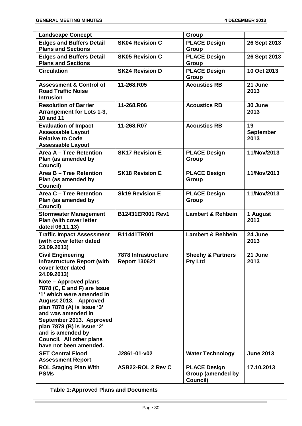| <b>Landscape Concept</b>                                                                                                                 |                                                    | Group                                                       |                                |
|------------------------------------------------------------------------------------------------------------------------------------------|----------------------------------------------------|-------------------------------------------------------------|--------------------------------|
| <b>Edges and Buffers Detail</b>                                                                                                          | <b>SK04 Revision C</b>                             | <b>PLACE Design</b>                                         | 26 Sept 2013                   |
| <b>Plans and Sections</b>                                                                                                                |                                                    | Group                                                       |                                |
| <b>Edges and Buffers Detail</b>                                                                                                          | <b>SK05 Revision C</b>                             | <b>PLACE Design</b>                                         | 26 Sept 2013                   |
| <b>Plans and Sections</b>                                                                                                                |                                                    | Group                                                       |                                |
| <b>Circulation</b>                                                                                                                       | <b>SK24 Revision D</b>                             | <b>PLACE Design</b>                                         | 10 Oct 2013                    |
|                                                                                                                                          |                                                    | Group                                                       |                                |
| <b>Assessment &amp; Control of</b><br><b>Road Traffic Noise</b><br><b>Intrusion</b>                                                      | 11-268.R05                                         | <b>Acoustics RB</b>                                         | 21 June<br>2013                |
| <b>Resolution of Barrier</b><br>Arrangement for Lots 1-3,<br><b>10 and 11</b>                                                            | 11-268.R06                                         | <b>Acoustics RB</b>                                         | 30 June<br>2013                |
| <b>Evaluation of Impact</b><br><b>Assessable Layout</b><br><b>Relative to Code</b><br><b>Assessable Layout</b>                           | 11-268.R07                                         | <b>Acoustics RB</b>                                         | 19<br><b>September</b><br>2013 |
| Area A - Tree Retention<br>Plan (as amended by<br>Council)                                                                               | <b>SK17 Revision E</b>                             | <b>PLACE Design</b><br>Group                                | 11/Nov/2013                    |
| Area B - Tree Retention<br>Plan (as amended by<br>Council)                                                                               | <b>SK18 Revision E</b>                             | <b>PLACE Design</b><br>Group                                | 11/Nov/2013                    |
| Area C - Tree Retention<br>Plan (as amended by<br>Council)                                                                               | <b>Sk19 Revision E</b>                             | <b>PLACE Design</b><br>Group                                | 11/Nov/2013                    |
| <b>Stormwater Management</b><br>Plan (with cover letter<br>dated 06.11.13)                                                               | B12431ER001 Rev1                                   | <b>Lambert &amp; Rehbein</b>                                | 1 August<br>2013               |
| <b>Traffic Impact Assessment</b><br>(with cover letter dated<br>23.09.2013)                                                              | B11441TR001                                        | <b>Lambert &amp; Rehbein</b>                                | 24 June<br>2013                |
| <b>Civil Engineering</b><br><b>Infrastructure Report (with</b><br>cover letter dated<br>24.09.2013)                                      | <b>7878 Infrastructure</b><br><b>Report 130621</b> | <b>Sheehv &amp; Partners</b><br><b>Pty Ltd</b>              | 21 June<br>2013                |
| Note - Approved plans<br>7878 (C, E and F) are Issue<br>'1' which were amended in<br>August 2013. Approved<br>plan 7878 (A) is issue '3' |                                                    |                                                             |                                |
| and was amended in<br>September 2013. Approved<br>plan 7878 (B) is issue '2'                                                             |                                                    |                                                             |                                |
| and is amended by<br>Council. All other plans                                                                                            |                                                    |                                                             |                                |
| have not been amended.                                                                                                                   |                                                    |                                                             |                                |
| <b>SET Central Flood</b><br><b>Assessment Report</b>                                                                                     | J2861-01-v02                                       | <b>Water Technology</b>                                     | <b>June 2013</b>               |
| <b>ROL Staging Plan With</b><br><b>PSMs</b>                                                                                              | <b>ASB22-ROL 2 Rev C</b>                           | <b>PLACE Design</b><br><b>Group (amended by</b><br>Council) | 17.10.2013                     |

**Table 1:Approved Plans and Documents**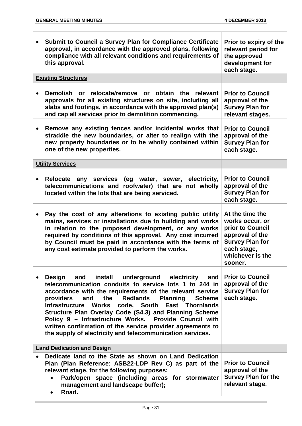J.

| Submit to Council a Survey Plan for Compliance Certificate<br>approval, in accordance with the approved plans, following<br>compliance with all relevant conditions and requirements of<br>this approval.                                                                                                                                                                                                                                                                                                                                                                      | Prior to expiry of the<br>relevant period for<br>the approved<br>development for<br>each stage.                                                   |
|--------------------------------------------------------------------------------------------------------------------------------------------------------------------------------------------------------------------------------------------------------------------------------------------------------------------------------------------------------------------------------------------------------------------------------------------------------------------------------------------------------------------------------------------------------------------------------|---------------------------------------------------------------------------------------------------------------------------------------------------|
| <b>Existing Structures</b>                                                                                                                                                                                                                                                                                                                                                                                                                                                                                                                                                     |                                                                                                                                                   |
| Demolish or relocate/remove or obtain the relevant<br>approvals for all existing structures on site, including all<br>slabs and footings, in accordance with the approved plan(s)<br>and cap all services prior to demolition commencing.                                                                                                                                                                                                                                                                                                                                      | <b>Prior to Council</b><br>approval of the<br><b>Survey Plan for</b><br>relevant stages.                                                          |
| Remove any existing fences and/or incidental works that<br>straddle the new boundaries, or alter to realign with the<br>new property boundaries or to be wholly contained within<br>one of the new properties.                                                                                                                                                                                                                                                                                                                                                                 | <b>Prior to Council</b><br>approval of the<br><b>Survey Plan for</b><br>each stage.                                                               |
| <b>Utility Services</b>                                                                                                                                                                                                                                                                                                                                                                                                                                                                                                                                                        |                                                                                                                                                   |
| any services (eg water, sewer, electricity,<br>Relocate<br>telecommunications and roofwater) that are not wholly<br>located within the lots that are being serviced.                                                                                                                                                                                                                                                                                                                                                                                                           | <b>Prior to Council</b><br>approval of the<br><b>Survey Plan for</b><br>each stage.                                                               |
| Pay the cost of any alterations to existing public utility<br>mains, services or installations due to building and works<br>in relation to the proposed development, or any works<br>required by conditions of this approval. Any cost incurred<br>by Council must be paid in accordance with the terms of<br>any cost estimate provided to perform the works.                                                                                                                                                                                                                 | At the time the<br>works occur, or<br>prior to Council<br>approval of the<br><b>Survey Plan for</b><br>each stage,<br>whichever is the<br>sooner. |
| Design<br>install<br>underground electricity<br>and<br>and<br>telecommunication conduits to service lots 1 to 244 in<br>accordance with the requirements of the relevant service<br>the<br><b>Redlands</b><br>and<br><b>Planning Scheme</b><br>providers<br>code, South<br><b>Infrastructure Works</b><br><b>East Thornlands</b><br>Structure Plan Overlay Code (S4.3) and Planning Scheme<br>Policy 9 - Infrastructure Works. Provide Council with<br>written confirmation of the service provider agreements to<br>the supply of electricity and telecommunication services. | <b>Prior to Council</b><br>approval of the<br><b>Survey Plan for</b><br>each stage.                                                               |
| <b>Land Dedication and Design</b>                                                                                                                                                                                                                                                                                                                                                                                                                                                                                                                                              |                                                                                                                                                   |
| Dedicate land to the State as shown on Land Dedication<br>Plan (Plan Reference: ASB22-LDP Rev C) as part of the<br>relevant stage, for the following purposes:<br>Park/open space (including areas for stormwater<br>$\bullet$<br>management and landscape buffer);<br>Road.<br>$\bullet$                                                                                                                                                                                                                                                                                      | <b>Prior to Council</b><br>approval of the<br><b>Survey Plan for the</b><br>relevant stage.                                                       |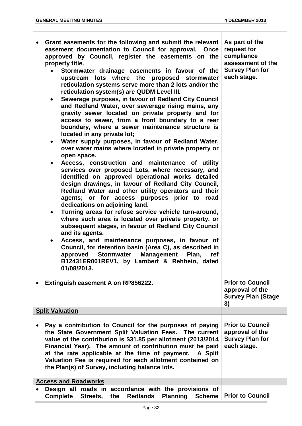| Grant easements for the following and submit the relevant<br>easement documentation to Council for approval. Once<br>approved by Council, register the easements on the<br>property title.<br>Stormwater drainage easements in favour of the<br>$\bullet$<br>upstream lots where the proposed stormwater<br>reticulation systems serve more than 2 lots and/or the<br>reticulation system(s) are QUDM Level III.<br>Sewerage purposes, in favour of Redland City Council<br>$\bullet$<br>and Redland Water, over sewerage rising mains, any<br>gravity sewer located on private property and for<br>access to sewer, from a front boundary to a rear<br>boundary, where a sewer maintenance structure is<br>located in any private lot;<br>Water supply purposes, in favour of Redland Water,<br>$\bullet$<br>over water mains where located in private property or<br>open space.<br>Access, construction and maintenance of utility<br>$\bullet$<br>services over proposed Lots, where necessary, and<br>identified on approved operational works detailed<br>design drawings, in favour of Redland City Council,<br>Redland Water and other utility operators and their<br>agents; or for access purposes prior to road<br>dedications on adjoining land.<br>Turning areas for refuse service vehicle turn-around,<br>$\bullet$<br>where such area is located over private property, or<br>subsequent stages, in favour of Redland City Council<br>and its agents.<br>Access, and maintenance purposes, in favour of<br>$\bullet$<br>Council, for detention basin (Area C), as described in<br>approved<br><b>Stormwater</b><br><b>Management</b><br>Plan,<br>ref<br>B12431ER001REV1, by Lambert & Rehbein, dated<br>01/08/2013. | As part of the<br>request for<br>compliance<br>assessment of the<br><b>Survey Plan for</b><br>each stage. |
|-------------------------------------------------------------------------------------------------------------------------------------------------------------------------------------------------------------------------------------------------------------------------------------------------------------------------------------------------------------------------------------------------------------------------------------------------------------------------------------------------------------------------------------------------------------------------------------------------------------------------------------------------------------------------------------------------------------------------------------------------------------------------------------------------------------------------------------------------------------------------------------------------------------------------------------------------------------------------------------------------------------------------------------------------------------------------------------------------------------------------------------------------------------------------------------------------------------------------------------------------------------------------------------------------------------------------------------------------------------------------------------------------------------------------------------------------------------------------------------------------------------------------------------------------------------------------------------------------------------------------------------------------------------------------------------------------------------------------------------|-----------------------------------------------------------------------------------------------------------|
| Extinguish easement A on RP856222.                                                                                                                                                                                                                                                                                                                                                                                                                                                                                                                                                                                                                                                                                                                                                                                                                                                                                                                                                                                                                                                                                                                                                                                                                                                                                                                                                                                                                                                                                                                                                                                                                                                                                                  | <b>Prior to Council</b><br>approval of the<br><b>Survey Plan (Stage</b><br>3)                             |
| <b>Split Valuation</b>                                                                                                                                                                                                                                                                                                                                                                                                                                                                                                                                                                                                                                                                                                                                                                                                                                                                                                                                                                                                                                                                                                                                                                                                                                                                                                                                                                                                                                                                                                                                                                                                                                                                                                              |                                                                                                           |
| Pay a contribution to Council for the purposes of paying<br>the State Government Split Valuation Fees. The current<br>value of the contribution is \$31.85 per allotment (2013/2014<br>Financial Year). The amount of contribution must be paid<br>at the rate applicable at the time of payment. A Split<br>Valuation Fee is required for each allotment contained on<br>the Plan(s) of Survey, including balance lots.                                                                                                                                                                                                                                                                                                                                                                                                                                                                                                                                                                                                                                                                                                                                                                                                                                                                                                                                                                                                                                                                                                                                                                                                                                                                                                            | <b>Prior to Council</b><br>approval of the<br><b>Survey Plan for</b><br>each stage.                       |
| <b>Access and Roadworks</b>                                                                                                                                                                                                                                                                                                                                                                                                                                                                                                                                                                                                                                                                                                                                                                                                                                                                                                                                                                                                                                                                                                                                                                                                                                                                                                                                                                                                                                                                                                                                                                                                                                                                                                         |                                                                                                           |
| Design all roads in accordance with the provisions of<br><b>Complete</b><br>Streets,<br><b>Redlands</b><br><b>Planning</b><br><b>Scheme</b><br>the                                                                                                                                                                                                                                                                                                                                                                                                                                                                                                                                                                                                                                                                                                                                                                                                                                                                                                                                                                                                                                                                                                                                                                                                                                                                                                                                                                                                                                                                                                                                                                                  | <b>Prior to Council</b>                                                                                   |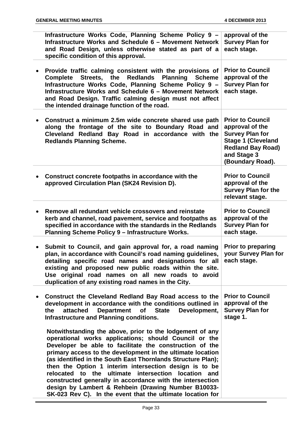|           | Infrastructure Works Code, Planning Scheme Policy 9 -<br>Infrastructure Works and Schedule 6 - Movement Network<br>and Road Design, unless otherwise stated as part of a<br>specific condition of this approval.                                                                                                                                                                                                                                                                                                                                                                                              | approval of the<br><b>Survey Plan for</b><br>each stage.                                                                                                         |
|-----------|---------------------------------------------------------------------------------------------------------------------------------------------------------------------------------------------------------------------------------------------------------------------------------------------------------------------------------------------------------------------------------------------------------------------------------------------------------------------------------------------------------------------------------------------------------------------------------------------------------------|------------------------------------------------------------------------------------------------------------------------------------------------------------------|
|           | Provide traffic calming consistent with the provisions of<br>Streets, the<br><b>Redlands</b><br><b>Planning</b><br><b>Scheme</b><br><b>Complete</b><br>Infrastructure Works Code, Planning Scheme Policy 9 -<br>Infrastructure Works and Schedule 6 - Movement Network<br>and Road Design. Traffic calming design must not affect<br>the intended drainage function of the road.                                                                                                                                                                                                                              | <b>Prior to Council</b><br>approval of the<br><b>Survey Plan for</b><br>each stage.                                                                              |
|           | Construct a minimum 2.5m wide concrete shared use path<br>along the frontage of the site to Boundary Road and<br>Cleveland Redland Bay Road in accordance with the<br><b>Redlands Planning Scheme.</b>                                                                                                                                                                                                                                                                                                                                                                                                        | <b>Prior to Council</b><br>approval of the<br><b>Survey Plan for</b><br><b>Stage 1 (Cleveland</b><br><b>Redland Bay Road)</b><br>and Stage 3<br>(Boundary Road). |
|           | Construct concrete footpaths in accordance with the<br>approved Circulation Plan (SK24 Revision D).                                                                                                                                                                                                                                                                                                                                                                                                                                                                                                           | <b>Prior to Council</b><br>approval of the<br><b>Survey Plan for the</b><br>relevant stage.                                                                      |
|           | Remove all redundant vehicle crossovers and reinstate<br>kerb and channel, road pavement, service and footpaths as<br>specified in accordance with the standards in the Redlands<br><b>Planning Scheme Policy 9 - Infrastructure Works.</b>                                                                                                                                                                                                                                                                                                                                                                   | <b>Prior to Council</b><br>approval of the<br><b>Survey Plan for</b><br>each stage.                                                                              |
|           | Submit to Council, and gain approval for, a road naming<br>plan, in accordance with Council's road naming guidelines,<br>detailing specific road names and designations for all each stage.<br>existing and proposed new public roads within the site.<br>Use original road names on all new roads to avoid<br>duplication of any existing road names in the City.                                                                                                                                                                                                                                            | <b>Prior to preparing</b><br>your Survey Plan for                                                                                                                |
| $\bullet$ | Construct the Cleveland Redland Bay Road access to the<br>development in accordance with the conditions outlined in<br>attached<br><b>Department</b><br>of State<br>the<br>Development,<br>Infrastructure and Planning conditions.                                                                                                                                                                                                                                                                                                                                                                            | <b>Prior to Council</b><br>approval of the<br><b>Survey Plan for</b><br>stage 1.                                                                                 |
|           | Notwithstanding the above, prior to the lodgement of any<br>operational works applications; should Council or the<br>Developer be able to facilitate the construction of the<br>primary access to the development in the ultimate location<br>(as identified in the South East Thornlands Structure Plan);<br>then the Option 1 interim intersection design is to be<br>relocated to the ultimate intersection location and<br>constructed generally in accordance with the intersection<br>design by Lambert & Rehbein (Drawing Number B10033-<br>SK-023 Rev C). In the event that the ultimate location for |                                                                                                                                                                  |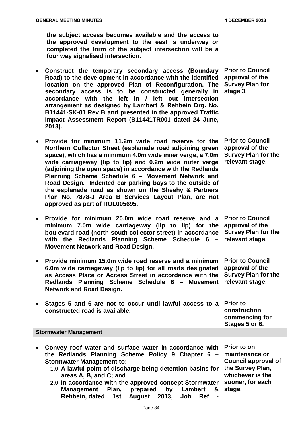| the subject access becomes available and the access to<br>the approved development to the east is underway or<br>completed the form of the subject intersection will be a<br>four way signalised intersection.                                                                                                                                                                                                                                                                                                                                                            |                                                                                                                                   |
|---------------------------------------------------------------------------------------------------------------------------------------------------------------------------------------------------------------------------------------------------------------------------------------------------------------------------------------------------------------------------------------------------------------------------------------------------------------------------------------------------------------------------------------------------------------------------|-----------------------------------------------------------------------------------------------------------------------------------|
| Construct the temporary secondary access (Boundary<br>Road) to the development in accordance with the identified<br>location on the approved Plan of Reconfiguration. The<br>secondary access is to be constructed generally in<br>accordance with the left in / left out intersection<br>arrangement as designed by Lambert & Rehbein Drg. No.<br>B11441-SK-01 Rev B and presented in the approved Traffic<br>Impact Assessment Report (B11441TR001 dated 24 June,<br>2013).                                                                                             | <b>Prior to Council</b><br>approval of the<br><b>Survey Plan for</b><br>stage 3.                                                  |
| Provide for minimum 11.2m wide road reserve for the<br>Northern Collector Street (esplanade road adjoining green<br>space), which has a minimum 4.0m wide inner verge, a 7.0m<br>wide carriageway (lip to lip) and 0.2m wide outer verge<br>(adjoining the open space) in accordance with the Redlands<br>Planning Scheme Schedule 6 - Movement Network and<br>Road Design. Indented car parking bays to the outside of<br>the esplanade road as shown on the Sheehy & Partners<br>Plan No. 7878-J Area B Services Layout Plan, are not<br>approved as part of ROL005695. | <b>Prior to Council</b><br>approval of the<br><b>Survey Plan for the</b><br>relevant stage.                                       |
| Provide for minimum 20.0m wide road reserve and a<br>minimum 7.0m wide carriageway (lip to lip) for the<br>boulevard road (north-south collector street) in accordance<br>with the Redlands Planning Scheme Schedule 6<br>Movement Network and Road Design.                                                                                                                                                                                                                                                                                                               | <b>Prior to Council</b><br>approval of the<br><b>Survey Plan for the</b><br>relevant stage.                                       |
| Provide minimum 15.0m wide road reserve and a minimum<br>6.0m wide carriageway (lip to lip) for all roads designated<br>as Access Place or Access Street in accordance with the<br>Redlands Planning Scheme Schedule 6 - Movement<br><b>Network and Road Design.</b>                                                                                                                                                                                                                                                                                                      | <b>Prior to Council</b><br>approval of the<br><b>Survey Plan for the</b><br>relevant stage.                                       |
| Stages 5 and 6 are not to occur until lawful access to a<br>constructed road is available.                                                                                                                                                                                                                                                                                                                                                                                                                                                                                | <b>Prior to</b><br>construction<br>commencing for<br>Stages 5 or 6.                                                               |
| <b>Stormwater Management</b>                                                                                                                                                                                                                                                                                                                                                                                                                                                                                                                                              |                                                                                                                                   |
| Convey roof water and surface water in accordance with<br>the Redlands Planning Scheme Policy 9 Chapter 6 -<br><b>Stormwater Management to:</b><br>1.0 A lawful point of discharge being detention basins for<br>areas A, B, and C; and<br>2.0 In accordance with the approved concept Stormwater<br><b>Management</b><br>Plan,<br>prepared<br>by<br>Lambert<br>&<br>Rehbein, dated<br>August<br>2013,<br>1st<br>Job<br>Ref                                                                                                                                               | Prior to on<br>maintenance or<br><b>Council approval of</b><br>the Survey Plan,<br>whichever is the<br>sooner, for each<br>stage. |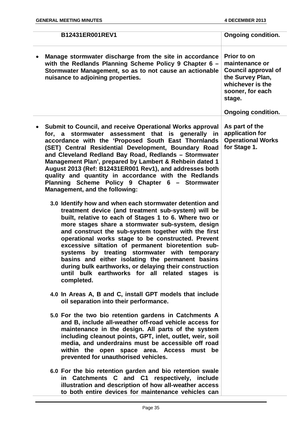|  | B12431ER001REV1                                                                                                                                                                                                                                                                                                                                                                                                                                                                                                                                                                                                                   | <b>Ongoing condition.</b>                                                                                                         |
|--|-----------------------------------------------------------------------------------------------------------------------------------------------------------------------------------------------------------------------------------------------------------------------------------------------------------------------------------------------------------------------------------------------------------------------------------------------------------------------------------------------------------------------------------------------------------------------------------------------------------------------------------|-----------------------------------------------------------------------------------------------------------------------------------|
|  | Manage stormwater discharge from the site in accordance<br>with the Redlands Planning Scheme Policy 9 Chapter 6 -<br>Stormwater Management, so as to not cause an actionable<br>nuisance to adjoining properties.                                                                                                                                                                                                                                                                                                                                                                                                                 | Prior to on<br>maintenance or<br><b>Council approval of</b><br>the Survey Plan,<br>whichever is the<br>sooner, for each<br>stage. |
|  |                                                                                                                                                                                                                                                                                                                                                                                                                                                                                                                                                                                                                                   | <b>Ongoing condition.</b>                                                                                                         |
|  | Submit to Council, and receive Operational Works approval<br>for, a stormwater assessment that is generally in<br>accordance with the 'Proposed South East Thornlands<br>(SET) Central Residential Development, Boundary Road<br>and Cleveland Redland Bay Road, Redlands - Stormwater<br>Management Plan', prepared by Lambert & Rehbein dated 1<br>August 2013 (Ref: B12431ER001 Rev1), and addresses both<br>quality and quantity in accordance with the Redlands<br>Planning Scheme Policy 9 Chapter 6 - Stormwater<br>Management, and the following:                                                                         | As part of the<br>application for<br><b>Operational Works</b><br>for Stage 1.                                                     |
|  | 3.0 Identify how and when each stormwater detention and<br>treatment device (and treatment sub-system) will be<br>built, relative to each of Stages 1 to 6. Where two or<br>more stages share a stormwater sub-system, design<br>and construct the sub-system together with the first<br>operational works stage to be constructed. Prevent<br>excessive siltation of permanent bioretention sub-<br>systems by treating stormwater with temporary<br>basins and either isolating the permanent basins<br>during bulk earthworks, or delaying their construction<br>until bulk earthworks for all related stages is<br>completed. |                                                                                                                                   |
|  | 4.0 In Areas A, B and C, install GPT models that include<br>oil separation into their performance.                                                                                                                                                                                                                                                                                                                                                                                                                                                                                                                                |                                                                                                                                   |
|  | 5.0 For the two bio retention gardens in Catchments A<br>and B, include all-weather off-road vehicle access for<br>maintenance in the design. All parts of the system<br>including cleanout points, GPT, inlet, outlet, weir, soil<br>media, and underdrains must be accessible off road<br>within the open space area. Access must be<br>prevented for unauthorised vehicles.                                                                                                                                                                                                                                                    |                                                                                                                                   |
|  | 6.0 For the bio retention garden and bio retention swale<br>in Catchments C and C1 respectively, include<br>illustration and description of how all-weather access<br>to both entire devices for maintenance vehicles can                                                                                                                                                                                                                                                                                                                                                                                                         |                                                                                                                                   |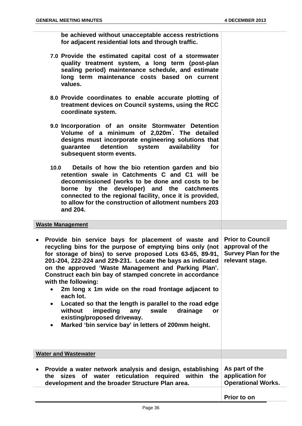**be achieved without unacceptable access restrictions for adjacent residential lots and through traffic.**

| 7.0 Provide the estimated capital cost of a stormwater<br>quality treatment system, a long term (post-plan)<br>sealing period) maintenance schedule, and estimate |
|-------------------------------------------------------------------------------------------------------------------------------------------------------------------|
| long term maintenance costs based on current<br>values.                                                                                                           |

- **8.0 Provide coordinates to enable accurate plotting of treatment devices on Council systems, using the RCC coordinate system.**
- **9.0 Incorporation of an onsite Stormwater Detention Volume of a minimum of 2,020m³ . The detailed designs must incorporate engineering solutions that guarantee detention system availability for subsequent storm events.**
- **10.0 Details of how the bio retention garden and bio retention swale in Catchments C and C1 will be decommissioned (works to be done and costs to be borne by the developer) and the catchments connected to the regional facility, once it is provided, to allow for the construction of allotment numbers 203 and 204.**

#### **Waste Management**

- **Provide bin service bays for placement of waste and recycling bins for the purpose of emptying bins only (not for storage of bins) to serve proposed Lots 63-65, 89-91, 201-204, 222-224 and 229-231. Locate the bays as indicated on the approved 'Waste Management and Parking Plan'. Construct each bin bay of stamped concrete in accordance with the following: Prior to Council approval of the Survey Plan for the relevant stage.**
	- **2m long x 1m wide on the road frontage adjacent to each lot.**
	- **Located so that the length is parallel to the road edge without impeding any swale drainage or existing/proposed driveway.**
	- **Marked 'bin service bay' in letters of 200mm height.**

| <b>Water and Wastewater</b>                                                                                                                                                          |                                             |
|--------------------------------------------------------------------------------------------------------------------------------------------------------------------------------------|---------------------------------------------|
| Provide a water network analysis and design, establishing<br>the sizes of water reticulation required within the application for<br>development and the broader Structure Plan area. | As part of the<br><b>Operational Works.</b> |
|                                                                                                                                                                                      | <b>Prior to on</b>                          |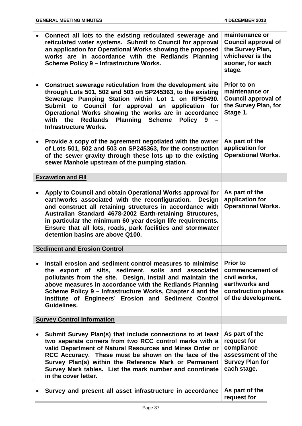| Connect all lots to the existing reticulated sewerage and<br>reticulated water systems. Submit to Council for approval<br>an application for Operational Works showing the proposed<br>works are in accordance with the Redlands Planning<br>Scheme Policy 9 - Infrastructure Works.                                                                                                                             | maintenance or<br><b>Council approval of</b><br>the Survey Plan,<br>whichever is the<br>sooner, for each<br>stage. |
|------------------------------------------------------------------------------------------------------------------------------------------------------------------------------------------------------------------------------------------------------------------------------------------------------------------------------------------------------------------------------------------------------------------|--------------------------------------------------------------------------------------------------------------------|
| Construct sewerage reticulation from the development site<br>through Lots 501, 502 and 503 on SP245363, to the existing<br>Sewerage Pumping Station within Lot 1 on RP59490.<br>Submit to Council for approval an application for<br>Operational Works showing the works are in accordance<br>with the<br>Redlands Planning Scheme<br>Policy 9<br><b>Infrastructure Works.</b>                                   | Prior to on<br>maintenance or<br><b>Council approval of</b><br>the Survey Plan, for<br>Stage 1.                    |
| Provide a copy of the agreement negotiated with the owner<br>of Lots 501, 502 and 503 on SP245363, for the construction<br>of the sewer gravity through these lots up to the existing<br>sewer Manhole upstream of the pumping station.                                                                                                                                                                          | As part of the<br>application for<br><b>Operational Works.</b>                                                     |
| <b>Excavation and Fill</b>                                                                                                                                                                                                                                                                                                                                                                                       |                                                                                                                    |
| Apply to Council and obtain Operational Works approval for<br>earthworks associated with the reconfiguration. Design<br>and construct all retaining structures in accordance with<br>Australian Standard 4678-2002 Earth-retaining Structures,<br>in particular the minimum 60 year design life requirements.<br>Ensure that all lots, roads, park facilities and stormwater<br>detention basins are above Q100. | As part of the<br>application for<br><b>Operational Works.</b>                                                     |
| <b>Sediment and Erosion Control</b>                                                                                                                                                                                                                                                                                                                                                                              |                                                                                                                    |
| Install erosion and sediment control measures to minimise<br>the export of silts, sediment, soils and associated<br>pollutants from the site. Design, install and maintain the<br>above measures in accordance with the Redlands Planning<br>Scheme Policy 9 – Infrastructure Works, Chapter 4 and the<br>Institute of Engineers' Erosion and Sediment Control<br>Guidelines.                                    | <b>Prior to</b><br>commencement of<br>civil works,<br>earthworks and<br>construction phases<br>of the development. |
| <b>Survey Control Information</b>                                                                                                                                                                                                                                                                                                                                                                                |                                                                                                                    |
| Submit Survey Plan(s) that include connections to at least<br>two separate corners from two RCC control marks with a<br>valid Department of Natural Resources and Mines Order or<br>RCC Accuracy. These must be shown on the face of the<br>Survey Plan(s) within the Reference Mark or Permanent<br>Survey Mark tables. List the mark number and coordinate<br>in the cover letter.                             | As part of the<br>request for<br>compliance<br>assessment of the<br><b>Survey Plan for</b><br>each stage.          |
| Survey and present all asset infrastructure in accordance                                                                                                                                                                                                                                                                                                                                                        | As part of the<br>request for                                                                                      |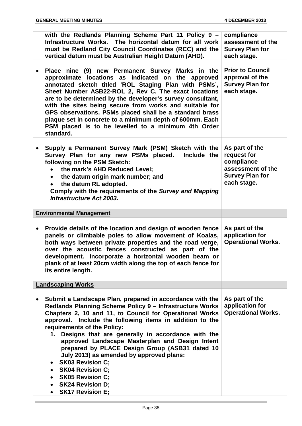| with the Redlands Planning Scheme Part 11 Policy 9 -<br>Infrastructure Works. The horizontal datum for all work<br>must be Redland City Council Coordinates (RCC) and the<br>vertical datum must be Australian Height Datum (AHD).                                                                                                                                                                                                                                                                                                                                                                                                                     | compliance<br>assessment of the<br><b>Survey Plan for</b><br>each stage.                                  |
|--------------------------------------------------------------------------------------------------------------------------------------------------------------------------------------------------------------------------------------------------------------------------------------------------------------------------------------------------------------------------------------------------------------------------------------------------------------------------------------------------------------------------------------------------------------------------------------------------------------------------------------------------------|-----------------------------------------------------------------------------------------------------------|
| Place nine (9) new Permanent Survey Marks in the<br>approximate locations as indicated on the approved<br>annotated sketch titled 'ROL Staging Plan with PSMs',<br>Sheet Number ASB22-ROL 2, Rev C. The exact locations<br>are to be determined by the developer's survey consultant,<br>with the sites being secure from works and suitable for<br>GPS observations. PSMs placed shall be a standard brass<br>plaque set in concrete to a minimum depth of 600mm. Each<br>PSM placed is to be levelled to a minimum 4th Order<br>standard.                                                                                                            | <b>Prior to Council</b><br>approval of the<br><b>Survey Plan for</b><br>each stage.                       |
| Supply a Permanent Survey Mark (PSM) Sketch with the<br>Survey Plan for any new PSMs placed.<br>Include the<br>following on the PSM Sketch:<br>the mark's AHD Reduced Level;<br>$\bullet$<br>• the datum origin mark number; and<br>the datum RL adopted.<br>$\bullet$<br>Comply with the requirements of the Survey and Mapping<br><b>Infrastructure Act 2003.</b>                                                                                                                                                                                                                                                                                    | As part of the<br>request for<br>compliance<br>assessment of the<br><b>Survey Plan for</b><br>each stage. |
| <b>Environmental Management</b>                                                                                                                                                                                                                                                                                                                                                                                                                                                                                                                                                                                                                        |                                                                                                           |
| Provide details of the location and design of wooden fence<br>panels or climbable poles to allow movement of Koalas,<br>both ways between private properties and the road verge,<br>over the acoustic fences constructed as part of the<br>development. Incorporate a horizontal wooden beam or<br>plank of at least 20cm width along the top of each fence for<br>its entire length.                                                                                                                                                                                                                                                                  | As part of the<br>application for<br><b>Operational Works.</b>                                            |
| <b>Landscaping Works</b>                                                                                                                                                                                                                                                                                                                                                                                                                                                                                                                                                                                                                               |                                                                                                           |
| Submit a Landscape Plan, prepared in accordance with the<br>Redlands Planning Scheme Policy 9 - Infrastructure Works<br>Chapters 2, 10 and 11, to Council for Operational Works<br>approval. Include the following items in addition to the<br>requirements of the Policy:<br>1. Designs that are generally in accordance with the<br>approved Landscape Masterplan and Design Intent<br>prepared by PLACE Design Group (ASB31 dated 10<br>July 2013) as amended by approved plans:<br><b>SK03 Revision C:</b><br>٠<br><b>SK04 Revision C;</b><br>$\bullet$<br><b>SK05 Revision C:</b><br>٠<br><b>SK24 Revision D:</b><br>٠<br><b>SK17 Revision E;</b> | As part of the<br>application for<br><b>Operational Works.</b>                                            |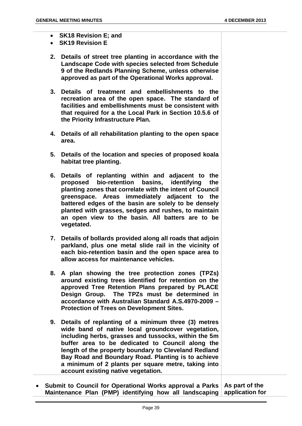- **SK18 Revision E; and**
- **SK19 Revision E**
- **2. Details of street tree planting in accordance with the Landscape Code with species selected from Schedule 9 of the Redlands Planning Scheme, unless otherwise approved as part of the Operational Works approval.**
- **3. Details of treatment and embellishments to the recreation area of the open space. The standard of facilities and embellishments must be consistent with that required for a the Local Park in Section 10.5.6 of the Priority Infrastructure Plan.**
- **4. Details of all rehabilitation planting to the open space area.**
- **5. Details of the location and species of proposed koala habitat tree planting.**
- **6. Details of replanting within and adjacent to the proposed bio-retention basins, identifying the planting zones that correlate with the intent of Council greenspace. Areas immediately adjacent to the battered edges of the basin are solely to be densely planted with grasses, sedges and rushes, to maintain an open view to the basin. All batters are to be vegetated.**
- **7. Details of bollards provided along all roads that adjoin parkland, plus one metal slide rail in the vicinity of each bio-retention basin and the open space area to allow access for maintenance vehicles.**
- **8. A plan showing the tree protection zones (TPZs) around existing trees identified for retention on the approved Tree Retention Plans prepared by PLACE Design Group. The TPZs must be determined in accordance with Australian Standard A.S.4970-2009 – Protection of Trees on Development Sites.**
- **9. Details of replanting of a minimum three (3) metres wide band of native local groundcover vegetation, including herbs, grasses and tussocks, within the 5m buffer area to be dedicated to Council along the length of the property boundary to Cleveland Redland Bay Road and Boundary Road. Planting is to achieve a minimum of 2 plants per square metre, taking into account existing native vegetation.**
- **Submit to Council for Operational Works approval a Parks As part of the Maintenance Plan (PMP) identifying how all landscaping application for**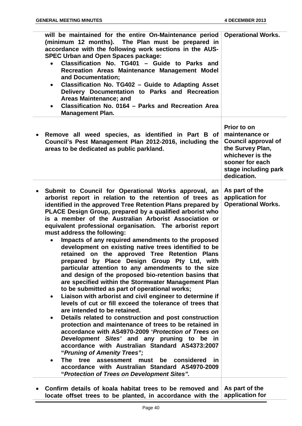| will be maintained for the entire On-Maintenance period<br>(minimum 12 months). The Plan must be prepared in<br>accordance with the following work sections in the AUS-<br><b>SPEC Urban and Open Spaces package:</b><br>Classification No. TG401 - Guide to Parks and<br>Recreation Areas Maintenance Management Model<br>and Documentation;<br>Classification No. TG402 - Guide to Adapting Asset<br>$\bullet$<br>Delivery Documentation to Parks and Recreation<br>Areas Maintenance; and<br>Classification No. 0164 - Parks and Recreation Area<br>$\bullet$<br><b>Management Plan.</b>                                                                                                                                                                                                                                                                                                                                                                                                                                                                                                                                                                                                                                                                                                                                                                                                                                                                                                                                           | <b>Operational Works.</b>                                                                                                                                     |
|---------------------------------------------------------------------------------------------------------------------------------------------------------------------------------------------------------------------------------------------------------------------------------------------------------------------------------------------------------------------------------------------------------------------------------------------------------------------------------------------------------------------------------------------------------------------------------------------------------------------------------------------------------------------------------------------------------------------------------------------------------------------------------------------------------------------------------------------------------------------------------------------------------------------------------------------------------------------------------------------------------------------------------------------------------------------------------------------------------------------------------------------------------------------------------------------------------------------------------------------------------------------------------------------------------------------------------------------------------------------------------------------------------------------------------------------------------------------------------------------------------------------------------------|---------------------------------------------------------------------------------------------------------------------------------------------------------------|
| Remove all weed species, as identified in Part B of<br>Council's Pest Management Plan 2012-2016, including the<br>areas to be dedicated as public parkland.                                                                                                                                                                                                                                                                                                                                                                                                                                                                                                                                                                                                                                                                                                                                                                                                                                                                                                                                                                                                                                                                                                                                                                                                                                                                                                                                                                           | Prior to on<br>maintenance or<br><b>Council approval of</b><br>the Survey Plan,<br>whichever is the<br>sooner for each<br>stage including park<br>dedication. |
| Submit to Council for Operational Works approval, an<br>arborist report in relation to the retention of trees as<br>identified in the approved Tree Retention Plans prepared by<br>PLACE Design Group, prepared by a qualified arborist who<br>is a member of the Australian Arborist Association or<br>equivalent professional organisation. The arborist report<br>must address the following:<br>Impacts of any required amendments to the proposed<br>$\bullet$<br>development on existing native trees identified to be<br>retained on the approved Tree Retention Plans<br>prepared by Place Design Group Pty Ltd, with<br>particular attention to any amendments to the size<br>and design of the proposed bio-retention basins that<br>are specified within the Stormwater Management Plan<br>to be submitted as part of operational works;<br>Liaison with arborist and civil engineer to determine if<br>$\bullet$<br>levels of cut or fill exceed the tolerance of trees that<br>are intended to be retained.<br>Details related to construction and post construction<br>$\bullet$<br>protection and maintenance of trees to be retained in<br>accordance with AS4970-2009 'Protection of Trees on<br>Development Sites' and any pruning to be in<br>accordance with Australian Standard AS4373:2007<br>"Pruning of Amenity Trees";<br>tree<br><b>The</b><br>assessment<br>must<br>be<br>considered<br>in.<br>$\bullet$<br>accordance with Australian Standard AS4970-2009<br>"Protection of Trees on Development Sites". | As part of the<br>application for<br><b>Operational Works.</b>                                                                                                |
| Confirm details of koala habitat trees to be removed and<br>locate offset trees to be planted, in accordance with the                                                                                                                                                                                                                                                                                                                                                                                                                                                                                                                                                                                                                                                                                                                                                                                                                                                                                                                                                                                                                                                                                                                                                                                                                                                                                                                                                                                                                 | As part of the<br>application for                                                                                                                             |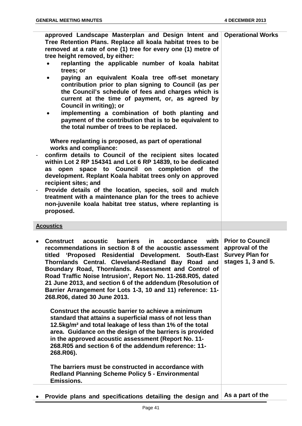| approved Landscape Masterplan and Design Intent and<br>Tree Retention Plans. Replace all koala habitat trees to be<br>removed at a rate of one (1) tree for every one (1) metre of<br>tree height removed, by either:<br>replanting the applicable number of koala habitat<br>$\bullet$<br>trees; or<br>paying an equivalent Koala tree off-set monetary<br>٠<br>contribution prior to plan signing to Council (as per<br>the Council's schedule of fees and charges which is<br>current at the time of payment, or, as agreed by<br>Council in writing); or<br>implementing a combination of both planting and<br>$\bullet$<br>payment of the contribution that is to be equivalent to<br>the total number of trees to be replaced.<br>Where replanting is proposed, as part of operational<br>works and compliance:<br>confirm details to Council of the recipient sites located<br>within Lot 2 RP 154341 and Lot 6 RP 14839, to be dedicated<br>space to Council on completion of the<br>open<br>as<br>development. Replant Koala habitat trees only on approved<br>recipient sites; and<br>Provide details of the location, species, soil and mulch<br>treatment with a maintenance plan for the trees to achieve<br>non-juvenile koala habitat tree status, where replanting is<br>proposed. | <b>Operational Works</b>                                                                   |
|----------------------------------------------------------------------------------------------------------------------------------------------------------------------------------------------------------------------------------------------------------------------------------------------------------------------------------------------------------------------------------------------------------------------------------------------------------------------------------------------------------------------------------------------------------------------------------------------------------------------------------------------------------------------------------------------------------------------------------------------------------------------------------------------------------------------------------------------------------------------------------------------------------------------------------------------------------------------------------------------------------------------------------------------------------------------------------------------------------------------------------------------------------------------------------------------------------------------------------------------------------------------------------------------------|--------------------------------------------------------------------------------------------|
| <b>Acoustics</b>                                                                                                                                                                                                                                                                                                                                                                                                                                                                                                                                                                                                                                                                                                                                                                                                                                                                                                                                                                                                                                                                                                                                                                                                                                                                                   |                                                                                            |
|                                                                                                                                                                                                                                                                                                                                                                                                                                                                                                                                                                                                                                                                                                                                                                                                                                                                                                                                                                                                                                                                                                                                                                                                                                                                                                    |                                                                                            |
| <b>Construct</b><br><b>barriers</b><br>with<br>acoustic<br>in.<br>accordance<br>recommendations in section 8 of the acoustic assessment<br>titled 'Proposed Residential Development. South-East<br>Thornlands Central. Cleveland-Redland Bay Road and<br>Boundary Road, Thornlands. Assessment and Control of<br>Road Traffic Noise Intrusion', Report No. 11-268.R05, dated<br>21 June 2013, and section 6 of the addendum (Resolution of<br>Barrier Arrangement for Lots 1-3, 10 and 11) reference: 11-<br>268.R06, dated 30 June 2013.                                                                                                                                                                                                                                                                                                                                                                                                                                                                                                                                                                                                                                                                                                                                                          | <b>Prior to Council</b><br>approval of the<br><b>Survey Plan for</b><br>stages 1, 3 and 5. |
| Construct the acoustic barrier to achieve a minimum<br>standard that attains a superficial mass of not less than<br>12.5kg/m <sup>2</sup> and total leakage of less than 1% of the total<br>area. Guidance on the design of the barriers is provided<br>in the approved acoustic assessment (Report No. 11-<br>268.R05 and section 6 of the addendum reference: 11-<br>268.R06).                                                                                                                                                                                                                                                                                                                                                                                                                                                                                                                                                                                                                                                                                                                                                                                                                                                                                                                   |                                                                                            |
| The barriers must be constructed in accordance with<br><b>Redland Planning Scheme Policy 5 - Environmental</b><br><b>Emissions.</b>                                                                                                                                                                                                                                                                                                                                                                                                                                                                                                                                                                                                                                                                                                                                                                                                                                                                                                                                                                                                                                                                                                                                                                |                                                                                            |
|                                                                                                                                                                                                                                                                                                                                                                                                                                                                                                                                                                                                                                                                                                                                                                                                                                                                                                                                                                                                                                                                                                                                                                                                                                                                                                    |                                                                                            |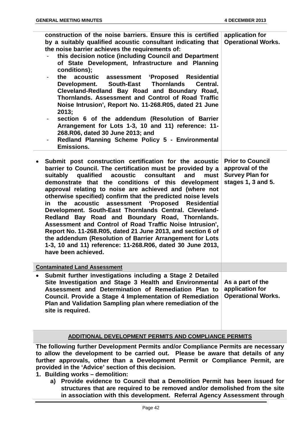|           | construction of the noise barriers. Ensure this is certified<br>by a suitably qualified acoustic consultant indicating that<br>the noise barrier achieves the requirements of:<br>this decision notice (including Council and Department<br>of State Development, Infrastructure and Planning<br>conditions);<br>the acoustic<br>assessment 'Proposed Residential<br><b>South-East</b><br><b>Thornlands</b><br>Central.<br>Development.<br>Cleveland-Redland Bay Road and Boundary Road,<br>Thornlands. Assessment and Control of Road Traffic<br>Noise Intrusion', Report No. 11-268. R05, dated 21 June<br>2013;<br>section 6 of the addendum (Resolution of Barrier<br>Arrangement for Lots 1-3, 10 and 11) reference: 11-<br>268.R06, dated 30 June 2013; and<br>Redland Planning Scheme Policy 5 - Environmental<br><b>Emissions.</b> | application for<br><b>Operational Works.</b>                                               |
|-----------|--------------------------------------------------------------------------------------------------------------------------------------------------------------------------------------------------------------------------------------------------------------------------------------------------------------------------------------------------------------------------------------------------------------------------------------------------------------------------------------------------------------------------------------------------------------------------------------------------------------------------------------------------------------------------------------------------------------------------------------------------------------------------------------------------------------------------------------------|--------------------------------------------------------------------------------------------|
| $\bullet$ | Submit post construction certification for the acoustic<br>barrier to Council. The certification must be provided by a<br>qualified acoustic<br>consultant<br>and<br>must<br>suitably<br>demonstrate that the conditions of this development<br>approval relating to noise are achieved and (where not<br>otherwise specified) confirm that the predicted noise levels<br>acoustic assessment 'Proposed Residential<br>the<br>in<br>Development. South-East Thornlands Central. Cleveland-<br>Redland Bay Road and Boundary Road, Thornlands.<br>Assessment and Control of Road Traffic Noise Intrusion',<br>Report No. 11-268.R05, dated 21 June 2013, and section 6 of<br>the addendum (Resolution of Barrier Arrangement for Lots<br>1-3, 10 and 11) reference: 11-268.R06, dated 30 June 2013,<br>have been achieved.                  | <b>Prior to Council</b><br>approval of the<br><b>Survey Plan for</b><br>stages 1, 3 and 5. |
|           | <b>Contaminated Land Assessment</b>                                                                                                                                                                                                                                                                                                                                                                                                                                                                                                                                                                                                                                                                                                                                                                                                        |                                                                                            |
| $\bullet$ | Submit further investigations including a Stage 2 Detailed<br>Site Investigation and Stage 3 Health and Environmental<br>Assessment and Determination of Remediation Plan to<br>Council. Provide a Stage 4 Implementation of Remediation<br>Plan and Validation Sampling plan where remediation of the<br>site is required.                                                                                                                                                                                                                                                                                                                                                                                                                                                                                                                | As a part of the<br>application for<br><b>Operational Works.</b>                           |

#### **ADDITIONAL DEVELOPMENT PERMITS AND COMPLIANCE PERMITS**

**The following further Development Permits and/or Compliance Permits are necessary to allow the development to be carried out. Please be aware that details of any further approvals, other than a Development Permit or Compliance Permit, are provided in the 'Advice' section of this decision.**

- **1. Building works – demolition:**
	- **a) Provide evidence to Council that a Demolition Permit has been issued for structures that are required to be removed and/or demolished from the site in association with this development. Referral Agency Assessment through**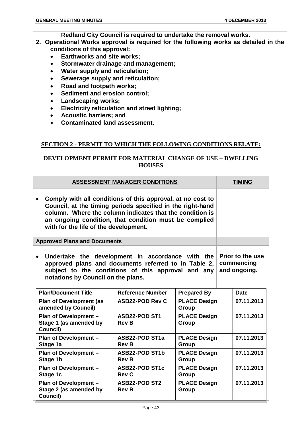**Plan of Development – Stage 2 (as amended by** 

**Council)**

**Redland City Council is required to undertake the removal works.**

- **2. Operational Works approval is required for the following works as detailed in the conditions of this approval:**
	- **Earthworks and site works;**
	- **Stormwater drainage and management;**
	- **Water supply and reticulation;**
	- **Sewerage supply and reticulation;**
	- **Road and footpath works;**
	- **Sediment and erosion control;**
	- **Landscaping works;**
	- **Electricity reticulation and street lighting;**
	- **Acoustic barriers; and**
	- **Contaminated land assessment.**

#### **SECTION 2 - PERMIT TO WHICH THE FOLLOWING CONDITIONS RELATE:**

#### **DEVELOPMENT PERMIT FOR MATERIAL CHANGE OF USE – DWELLING HOUSES**

|                                                                                                                                                                                                                                                                                        | <b>ASSESSMENT MANAGER CONDITIONS</b>                  |                              | <b>TIMING</b> |
|----------------------------------------------------------------------------------------------------------------------------------------------------------------------------------------------------------------------------------------------------------------------------------------|-------------------------------------------------------|------------------------------|---------------|
| Comply with all conditions of this approval, at no cost to<br>Council, at the timing periods specified in the right-hand<br>column. Where the column indicates that the condition is<br>an ongoing condition, that condition must be complied<br>with for the life of the development. |                                                       |                              |               |
| <b>Approved Plans and Documents</b>                                                                                                                                                                                                                                                    |                                                       |                              |               |
| Undertake the development in accordance with the<br>approved plans and documents referred to in Table 2,<br>subject to the conditions of this approval and any<br>notations by Council on the plans.                                                                                   | <b>Prior to the use</b><br>commencing<br>and ongoing. |                              |               |
| <b>Plan/Document Title</b>                                                                                                                                                                                                                                                             | <b>Reference Number</b>                               | <b>Prepared By</b>           | <b>Date</b>   |
| <b>Plan of Development (as</b><br>amended by Council)                                                                                                                                                                                                                                  | <b>ASB22-POD Rev C</b>                                | <b>PLACE Design</b><br>Group | 07.11.2013    |
| Plan of Development -<br>Stage 1 (as amended by<br>Council)                                                                                                                                                                                                                            | <b>ASB22-POD ST1</b><br><b>Rev B</b>                  | <b>PLACE Design</b><br>Group | 07.11.2013    |
| Plan of Development -<br>Stage 1a                                                                                                                                                                                                                                                      | <b>ASB22-POD ST1a</b><br><b>Rev B</b>                 | <b>PLACE Design</b><br>Group | 07.11.2013    |
| Plan of Development -<br>Stage 1b                                                                                                                                                                                                                                                      | <b>ASB22-POD ST1b</b><br><b>Rev B</b>                 | <b>PLACE Design</b><br>Group | 07.11.2013    |
| Plan of Development -<br>Stage 1c                                                                                                                                                                                                                                                      | <b>ASB22-POD ST1c</b><br><b>Rev C</b>                 | <b>PLACE Design</b><br>Group | 07.11.2013    |

**PLACE Design** 

**07.11.2013**

**Group**

**ASB22-POD ST2** 

**Rev B**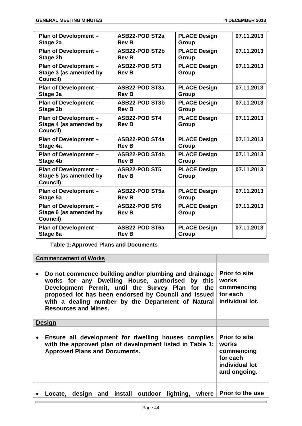| <b>Plan of Development -</b>                                       | <b>ASB22-POD ST2a</b>                | <b>PLACE Design</b>          | 07.11.2013 |
|--------------------------------------------------------------------|--------------------------------------|------------------------------|------------|
| Stage 2a                                                           | <b>Rev B</b>                         | Group                        |            |
| Plan of Development -                                              | <b>ASB22-POD ST2b</b>                | <b>PLACE Design</b>          | 07.11.2013 |
| Stage 2b                                                           | <b>Rev B</b>                         | Group                        |            |
| Plan of Development -<br>Stage 3 (as amended by<br>Council)        | <b>ASB22-POD ST3</b><br><b>Rev B</b> | <b>PLACE Design</b><br>Group | 07.11.2013 |
| Plan of Development -                                              | ASB22-POD ST3a                       | <b>PLACE Design</b>          | 07.11.2013 |
| Stage 3a                                                           | <b>Rev B</b>                         | Group                        |            |
| <b>Plan of Development -</b>                                       | ASB22-POD ST3b                       | <b>PLACE Design</b>          | 07.11.2013 |
| <b>Stage 3b</b>                                                    | <b>Rev B</b>                         | Group                        |            |
| Plan of Development -<br>Stage 4 (as amended by<br>Council)        | <b>ASB22-POD ST4</b><br><b>Rev B</b> | <b>PLACE Design</b><br>Group | 07.11.2013 |
| Plan of Development -                                              | <b>ASB22-POD ST4a</b>                | <b>PLACE Design</b>          | 07.11.2013 |
| Stage 4a                                                           | <b>Rev B</b>                         | Group                        |            |
| Plan of Development -                                              | <b>ASB22-POD ST4b</b>                | <b>PLACE Design</b>          | 07.11.2013 |
| Stage 4b                                                           | <b>Rev B</b>                         | Group                        |            |
| Plan of Development -<br>Stage 5 (as amended by<br>Council)        | <b>ASB22-POD ST5</b><br><b>Rev B</b> | <b>PLACE Design</b><br>Group | 07.11.2013 |
| <b>Plan of Development -</b>                                       | <b>ASB22-POD ST5a</b>                | <b>PLACE Design</b>          | 07.11.2013 |
| Stage 5a                                                           | <b>Rev B</b>                         | Group                        |            |
| <b>Plan of Development -</b><br>Stage 6 (as amended by<br>Council) | <b>ASB22-POD ST6</b><br><b>Rev B</b> | <b>PLACE Design</b><br>Group | 07.11.2013 |
| <b>Plan of Development -</b>                                       | <b>ASB22-POD ST6a</b>                | <b>PLACE Design</b>          | 07.11.2013 |
| Stage 6a                                                           | <b>Rev B</b>                         | Group                        |            |

**Table 1:Approved Plans and Documents**

**Commencement of Works**

| Do not commence building and/or plumbing and drainage<br>works for any Dwelling House, authorised by this<br>Development Permit, until the Survey Plan for the<br>proposed lot has been endorsed by Council and issued<br>with a dealing number by the Department of Natural<br><b>Resources and Mines.</b> | <b>Prior to site</b><br>works<br>commencing<br>for each<br>individual lot.                |
|-------------------------------------------------------------------------------------------------------------------------------------------------------------------------------------------------------------------------------------------------------------------------------------------------------------|-------------------------------------------------------------------------------------------|
| <b>Design</b>                                                                                                                                                                                                                                                                                               |                                                                                           |
| Ensure all development for dwelling houses complies<br>with the approved plan of development listed in Table 1:<br><b>Approved Plans and Documents.</b>                                                                                                                                                     | <b>Prior to site</b><br>works<br>commencing<br>for each<br>individual lot<br>and ongoing. |
| Locate, design and install outdoor lighting, where Prior to the use                                                                                                                                                                                                                                         |                                                                                           |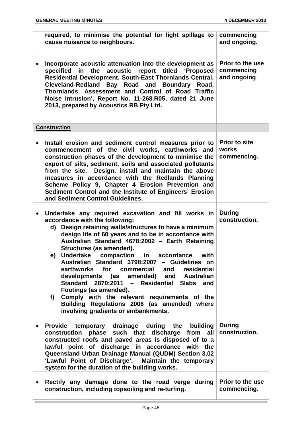| required, to minimise the potential for light spillage to<br>cause nuisance to neighbours.                                                                                                                                                                                                                                                                                                                                                                                                                                                                                                                                                                                                                                   | commencing<br>and ongoing.                           |
|------------------------------------------------------------------------------------------------------------------------------------------------------------------------------------------------------------------------------------------------------------------------------------------------------------------------------------------------------------------------------------------------------------------------------------------------------------------------------------------------------------------------------------------------------------------------------------------------------------------------------------------------------------------------------------------------------------------------------|------------------------------------------------------|
| Incorporate acoustic attenuation into the development as<br>specified in the acoustic report titled 'Proposed<br>Residential Development. South-East Thornlands Central.<br>Cleveland-Redland Bay Road and Boundary Road,<br>Thornlands. Assessment and Control of Road Traffic<br>Noise Intrusion', Report No. 11-268.R05, dated 21 June<br>2013, prepared by Acoustics RB Pty Ltd.                                                                                                                                                                                                                                                                                                                                         | <b>Prior to the use</b><br>commencing<br>and ongoing |
| <b>Construction</b>                                                                                                                                                                                                                                                                                                                                                                                                                                                                                                                                                                                                                                                                                                          |                                                      |
| Install erosion and sediment control measures prior to<br>commencement of the civil works, earthworks and<br>construction phases of the development to minimise the<br>export of silts, sediment, soils and associated pollutants<br>from the site. Design, install and maintain the above<br>measures in accordance with the Redlands Planning<br>Scheme Policy 9, Chapter 4 Erosion Prevention and<br>Sediment Control and the Institute of Engineers' Erosion<br>and Sediment Control Guidelines.                                                                                                                                                                                                                         | <b>Prior to site</b><br>works<br>commencing.         |
| Undertake any required excavation and fill works in<br>accordance with the following:<br>d) Design retaining walls/structures to have a minimum<br>design life of 60 years and to be in accordance with<br>Australian Standard 4678:2002 - Earth Retaining<br>Structures (as amended).<br><b>Undertake</b><br>accordance<br>compaction<br>in<br>with<br>e)<br>Australian Standard 3798:2007 - Guidelines on<br>earthworks for commercial and residential<br>developments (as amended) and Australian<br>Standard 2870:2011 - Residential Slabs<br>and<br>Footings (as amended).<br>Comply with the relevant requirements of the<br>f)<br>Building Regulations 2006 (as amended) where<br>involving gradients or embankments. | <b>During</b><br>construction.                       |
| Provide temporary drainage during the building<br>construction phase such that discharge from all<br>constructed roofs and paved areas is disposed of to a<br>lawful point of discharge in accordance with the<br>Queensland Urban Drainage Manual (QUDM) Section 3.02<br>'Lawful Point of Discharge'. Maintain the temporary<br>system for the duration of the building works.                                                                                                                                                                                                                                                                                                                                              | <b>During</b><br>construction.                       |
| Rectify any damage done to the road verge during<br>construction, including topsoiling and re-turfing.                                                                                                                                                                                                                                                                                                                                                                                                                                                                                                                                                                                                                       | <b>Prior to the use</b><br>commencing.               |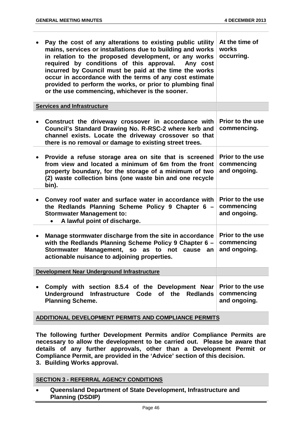| Pay the cost of any alterations to existing public utility<br>mains, services or installations due to building and works<br>in relation to the proposed development, or any works<br>required by conditions of this approval.<br>Any cost<br>incurred by Council must be paid at the time the works<br>occur in accordance with the terms of any cost estimate<br>provided to perform the works, or prior to plumbing final<br>or the use commencing, whichever is the sooner. | At the time of<br>works<br>occurring.                 |
|--------------------------------------------------------------------------------------------------------------------------------------------------------------------------------------------------------------------------------------------------------------------------------------------------------------------------------------------------------------------------------------------------------------------------------------------------------------------------------|-------------------------------------------------------|
| <b>Services and Infrastructure</b>                                                                                                                                                                                                                                                                                                                                                                                                                                             |                                                       |
| Construct the driveway crossover in accordance with<br>Council's Standard Drawing No. R-RSC-2 where kerb and<br>channel exists. Locate the driveway crossover so that<br>there is no removal or damage to existing street trees.                                                                                                                                                                                                                                               | <b>Prior to the use</b><br>commencing.                |
| Provide a refuse storage area on site that is screened<br>from view and located a minimum of 6m from the front<br>property boundary, for the storage of a minimum of two<br>(2) waste collection bins (one waste bin and one recycle<br>bin).                                                                                                                                                                                                                                  | <b>Prior to the use</b><br>commencing<br>and ongoing. |
| Convey roof water and surface water in accordance with<br>the Redlands Planning Scheme Policy 9 Chapter 6 -<br><b>Stormwater Management to:</b><br>A lawful point of discharge.                                                                                                                                                                                                                                                                                                | <b>Prior to the use</b><br>commencing<br>and ongoing. |
| Manage stormwater discharge from the site in accordance<br>with the Redlands Planning Scheme Policy 9 Chapter 6 -<br>Management, so<br>to not<br><b>Stormwater</b><br>as<br>cause an<br>actionable nuisance to adjoining properties.                                                                                                                                                                                                                                           | <b>Prior to the use</b><br>commencing<br>and ongoing. |
| Development Near Underground Infrastructure                                                                                                                                                                                                                                                                                                                                                                                                                                    |                                                       |
| Comply with section 8.5.4 of the Development Near<br>the<br><b>Redlands</b><br><b>Underground</b><br>Infrastructure Code<br><b>of</b><br><b>Planning Scheme.</b>                                                                                                                                                                                                                                                                                                               | <b>Prior to the use</b><br>commencing<br>and ongoing. |
| ADDITIONAL DEVELOPMENT PERMITS AND COMPLIANCE PERMITS                                                                                                                                                                                                                                                                                                                                                                                                                          |                                                       |

**The following further Development Permits and/or Compliance Permits are necessary to allow the development to be carried out. Please be aware that details of any further approvals, other than a Development Permit or Compliance Permit, are provided in the 'Advice' section of this decision. 3. Building Works approval.**

#### **SECTION 3 - REFERRAL AGENCY CONDITIONS**

• **Queensland Department of State Development, Infrastructure and Planning (DSDIP)**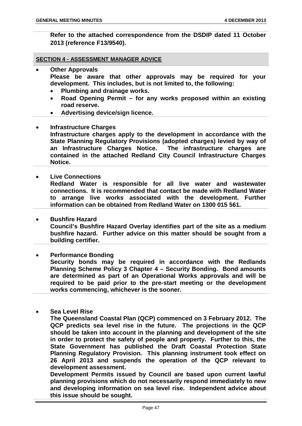**Refer to the attached correspondence from the DSDIP dated 11 October 2013 (reference F13/9540).**

#### **SECTION 4 - ASSESSMENT MANAGER ADVICE**

- **Other Approvals Please be aware that other approvals may be required for your development. This includes, but is not limited to, the following:**
	- **Plumbing and drainage works.**
	- **Road Opening Permit – for any works proposed within an existing road reserve.**
	- **Advertising device/sign licence.**
- **Infrastructure Charges Infrastructure charges apply to the development in accordance with the State Planning Regulatory Provisions (adopted charges) levied by way of an Infrastructure Charges Notice. The infrastructure charges are contained in the attached Redland City Council Infrastructure Charges Notice.**
- **Live Connections**

**Redland Water is responsible for all live water and wastewater connections. It is recommended that contact be made with Redland Water to arrange live works associated with the development. Further information can be obtained from Redland Water on 1300 015 561.**

- **Bushfire Hazard Council's Bushfire Hazard Overlay identifies part of the site as a medium bushfire hazard. Further advice on this matter should be sought from a building certifier.**
- **Performance Bonding Security bonds may be required in accordance with the Redlands Planning Scheme Policy 3 Chapter 4 – Security Bonding. Bond amounts are determined as part of an Operational Works approvals and will be required to be paid prior to the pre-start meeting or the development works commencing, whichever is the sooner.**
- **Sea Level Rise**

**The Queensland Coastal Plan (QCP) commenced on 3 February 2012. The QCP predicts sea level rise in the future. The projections in the QCP should be taken into account in the planning and development of the site in order to protect the safety of people and property. Further to this, the State Government has published the Draft Coastal Protection State Planning Regulatory Provision. This planning instrument took effect on 26 April 2013 and suspends the operation of the QCP relevant to development assessment.**

**Development Permits issued by Council are based upon current lawful planning provisions which do not necessarily respond immediately to new and developing information on sea level rise. Independent advice about this issue should be sought.**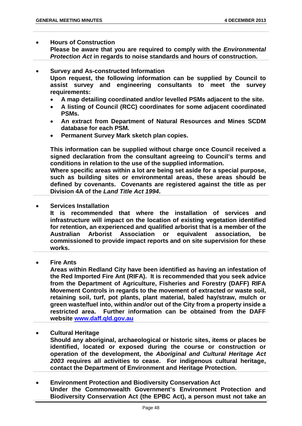#### • **Hours of Construction**

**Please be aware that you are required to comply with the** *Environmental Protection Act* **in regards to noise standards and hours of construction.**

- **Survey and As-constructed Information Upon request, the following information can be supplied by Council to assist survey and engineering consultants to meet the survey requirements:**
	- **A map detailing coordinated and/or levelled PSMs adjacent to the site.**
	- **A listing of Council (RCC) coordinates for some adjacent coordinated PSMs.**
	- **An extract from Department of Natural Resources and Mines SCDM database for each PSM.**
	- **Permanent Survey Mark sketch plan copies.**

**This information can be supplied without charge once Council received a signed declaration from the consultant agreeing to Council's terms and conditions in relation to the use of the supplied information.**

**Where specific areas within a lot are being set aside for a special purpose, such as building sites or environmental areas, these areas should be defined by covenants. Covenants are registered against the title as per Division 4A of the** *Land Title Act 1994***.**

• **Services Installation**

**It is recommended that where the installation of services and infrastructure will impact on the location of existing vegetation identified for retention, an experienced and qualified arborist that is a member of the Australian Arborist Association or equivalent association, be commissioned to provide impact reports and on site supervision for these works.**

**Fire Ants** 

**Areas within Redland City have been identified as having an infestation of the Red Imported Fire Ant (RIFA). It is recommended that you seek advice from the Department of Agriculture, Fisheries and Forestry (DAFF) RIFA Movement Controls in regards to the movement of extracted or waste soil, retaining soil, turf, pot plants, plant material, baled hay/straw, mulch or green waste/fuel into, within and/or out of the City from a property inside a restricted area. Further information can be obtained from the DAFF website [www.daff.qld.gov.au](http://www.daff.qld.gov.au/)**

• **Cultural Heritage**

**Should any aboriginal, archaeological or historic sites, items or places be identified, located or exposed during the course or construction or operation of the development, the** *Aboriginal and Cultural Heritage Act 2003* **requires all activities to cease. For indigenous cultural heritage, contact the Department of Environment and Heritage Protection.**

• **Environment Protection and Biodiversity Conservation Act Under the Commonwealth Government's Environment Protection and Biodiversity Conservation Act (the EPBC Act), a person must not take an**